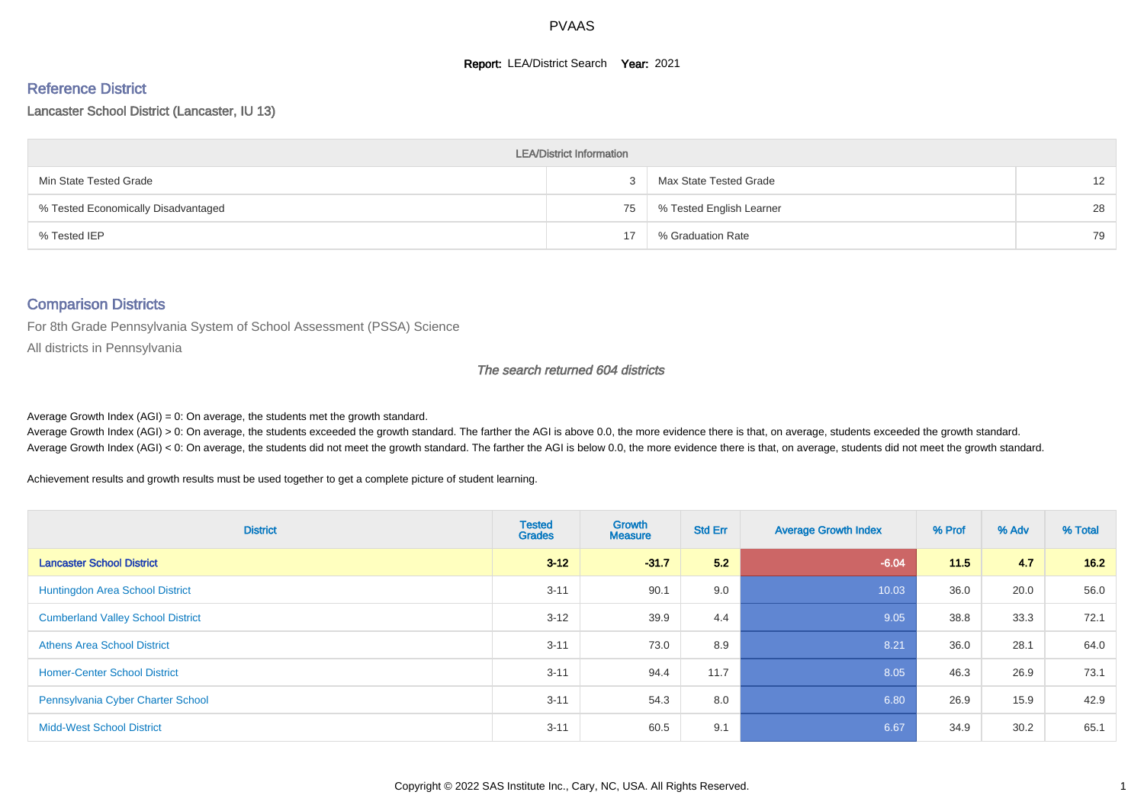#### **Report: LEA/District Search Year: 2021**

#### Reference District

Lancaster School District (Lancaster, IU 13)

| <b>LEA/District Information</b>     |    |                          |    |  |  |  |  |  |  |
|-------------------------------------|----|--------------------------|----|--|--|--|--|--|--|
| Min State Tested Grade              |    | Max State Tested Grade   | 12 |  |  |  |  |  |  |
| % Tested Economically Disadvantaged | 75 | % Tested English Learner | 28 |  |  |  |  |  |  |
| % Tested IEP                        |    | % Graduation Rate        | 79 |  |  |  |  |  |  |

#### Comparison Districts

For 8th Grade Pennsylvania System of School Assessment (PSSA) Science

All districts in Pennsylvania

#### The search returned 604 districts

Average Growth Index  $(AGI) = 0$ : On average, the students met the growth standard.

Average Growth Index (AGI) > 0: On average, the students exceeded the growth standard. The farther the AGI is above 0.0, the more evidence there is that, on average, students exceeded the growth standard. Average Growth Index (AGI) < 0: On average, the students did not meet the growth standard. The farther the AGI is below 0.0, the more evidence there is that, on average, students did not meet the growth standard.

Achievement results and growth results must be used together to get a complete picture of student learning.

| <b>District</b>                          | <b>Tested</b><br><b>Grades</b> | Growth<br><b>Measure</b> | <b>Std Err</b> | <b>Average Growth Index</b> | % Prof | % Adv | % Total |
|------------------------------------------|--------------------------------|--------------------------|----------------|-----------------------------|--------|-------|---------|
| <b>Lancaster School District</b>         | $3 - 12$                       | $-31.7$                  | 5.2            | $-6.04$                     | 11.5   | 4.7   | 16.2    |
| <b>Huntingdon Area School District</b>   | $3 - 11$                       | 90.1                     | 9.0            | 10.03                       | 36.0   | 20.0  | 56.0    |
| <b>Cumberland Valley School District</b> | $3 - 12$                       | 39.9                     | 4.4            | 9.05                        | 38.8   | 33.3  | 72.1    |
| <b>Athens Area School District</b>       | $3 - 11$                       | 73.0                     | 8.9            | 8.21                        | 36.0   | 28.1  | 64.0    |
| <b>Homer-Center School District</b>      | $3 - 11$                       | 94.4                     | 11.7           | 8.05                        | 46.3   | 26.9  | 73.1    |
| Pennsylvania Cyber Charter School        | $3 - 11$                       | 54.3                     | 8.0            | 6.80                        | 26.9   | 15.9  | 42.9    |
| <b>Midd-West School District</b>         | $3 - 11$                       | 60.5                     | 9.1            | 6.67                        | 34.9   | 30.2  | 65.1    |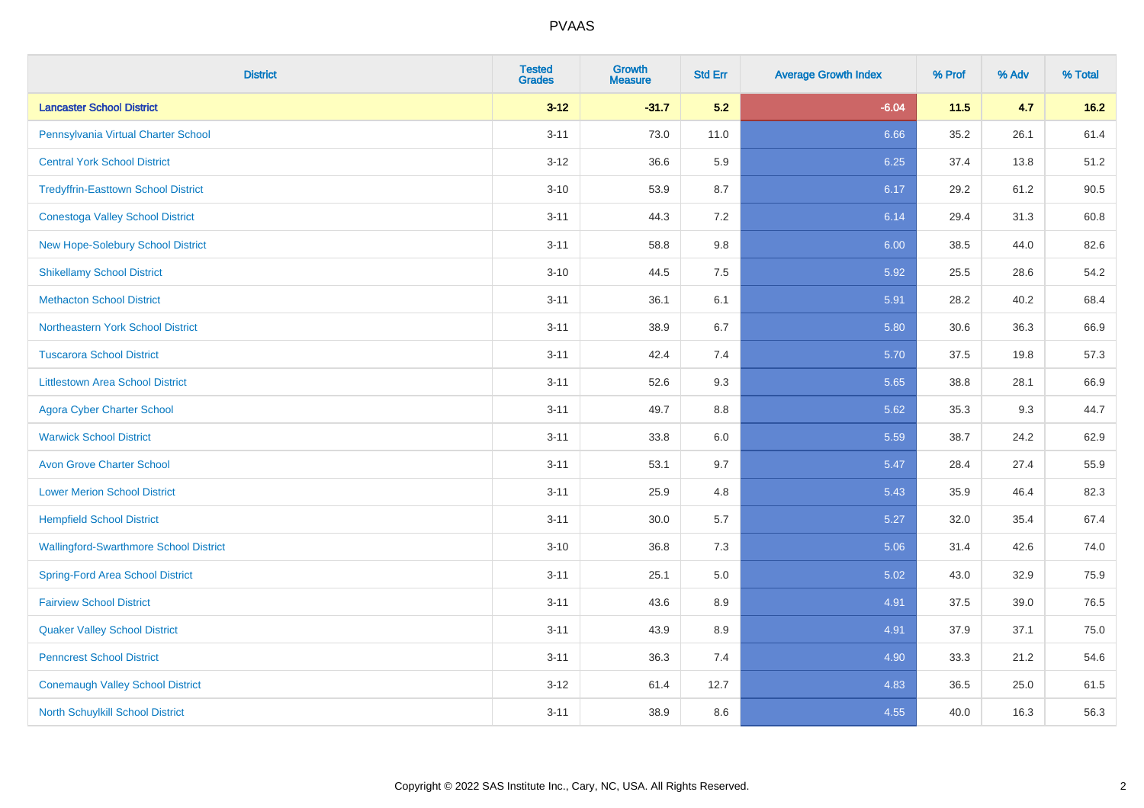| <b>District</b>                               | <b>Tested</b><br><b>Grades</b> | Growth<br><b>Measure</b> | <b>Std Err</b> | <b>Average Growth Index</b> | % Prof | % Adv | % Total |
|-----------------------------------------------|--------------------------------|--------------------------|----------------|-----------------------------|--------|-------|---------|
| <b>Lancaster School District</b>              | $3-12$                         | $-31.7$                  | 5.2            | $-6.04$                     | 11.5   | 4.7   | $16.2$  |
| Pennsylvania Virtual Charter School           | $3 - 11$                       | 73.0                     | 11.0           | 6.66                        | 35.2   | 26.1  | 61.4    |
| <b>Central York School District</b>           | $3 - 12$                       | 36.6                     | 5.9            | 6.25                        | 37.4   | 13.8  | 51.2    |
| <b>Tredyffrin-Easttown School District</b>    | $3 - 10$                       | 53.9                     | 8.7            | 6.17                        | 29.2   | 61.2  | 90.5    |
| <b>Conestoga Valley School District</b>       | $3 - 11$                       | 44.3                     | 7.2            | 6.14                        | 29.4   | 31.3  | 60.8    |
| New Hope-Solebury School District             | $3 - 11$                       | 58.8                     | 9.8            | 6.00                        | 38.5   | 44.0  | 82.6    |
| <b>Shikellamy School District</b>             | $3 - 10$                       | 44.5                     | 7.5            | 5.92                        | 25.5   | 28.6  | 54.2    |
| <b>Methacton School District</b>              | $3 - 11$                       | 36.1                     | 6.1            | 5.91                        | 28.2   | 40.2  | 68.4    |
| Northeastern York School District             | $3 - 11$                       | 38.9                     | 6.7            | 5.80                        | 30.6   | 36.3  | 66.9    |
| <b>Tuscarora School District</b>              | $3 - 11$                       | 42.4                     | 7.4            | 5.70                        | 37.5   | 19.8  | 57.3    |
| <b>Littlestown Area School District</b>       | $3 - 11$                       | 52.6                     | 9.3            | 5.65                        | 38.8   | 28.1  | 66.9    |
| <b>Agora Cyber Charter School</b>             | $3 - 11$                       | 49.7                     | 8.8            | 5.62                        | 35.3   | 9.3   | 44.7    |
| <b>Warwick School District</b>                | $3 - 11$                       | 33.8                     | $6.0\,$        | 5.59                        | 38.7   | 24.2  | 62.9    |
| <b>Avon Grove Charter School</b>              | $3 - 11$                       | 53.1                     | 9.7            | 5.47                        | 28.4   | 27.4  | 55.9    |
| <b>Lower Merion School District</b>           | $3 - 11$                       | 25.9                     | 4.8            | 5.43                        | 35.9   | 46.4  | 82.3    |
| <b>Hempfield School District</b>              | $3 - 11$                       | 30.0                     | 5.7            | 5.27                        | 32.0   | 35.4  | 67.4    |
| <b>Wallingford-Swarthmore School District</b> | $3 - 10$                       | 36.8                     | 7.3            | 5.06                        | 31.4   | 42.6  | 74.0    |
| <b>Spring-Ford Area School District</b>       | $3 - 11$                       | 25.1                     | 5.0            | 5.02                        | 43.0   | 32.9  | 75.9    |
| <b>Fairview School District</b>               | $3 - 11$                       | 43.6                     | 8.9            | 4.91                        | 37.5   | 39.0  | 76.5    |
| <b>Quaker Valley School District</b>          | $3 - 11$                       | 43.9                     | 8.9            | 4.91                        | 37.9   | 37.1  | 75.0    |
| <b>Penncrest School District</b>              | $3 - 11$                       | 36.3                     | 7.4            | 4.90                        | 33.3   | 21.2  | 54.6    |
| <b>Conemaugh Valley School District</b>       | $3 - 12$                       | 61.4                     | 12.7           | 4.83                        | 36.5   | 25.0  | 61.5    |
| North Schuylkill School District              | $3 - 11$                       | 38.9                     | 8.6            | 4.55                        | 40.0   | 16.3  | 56.3    |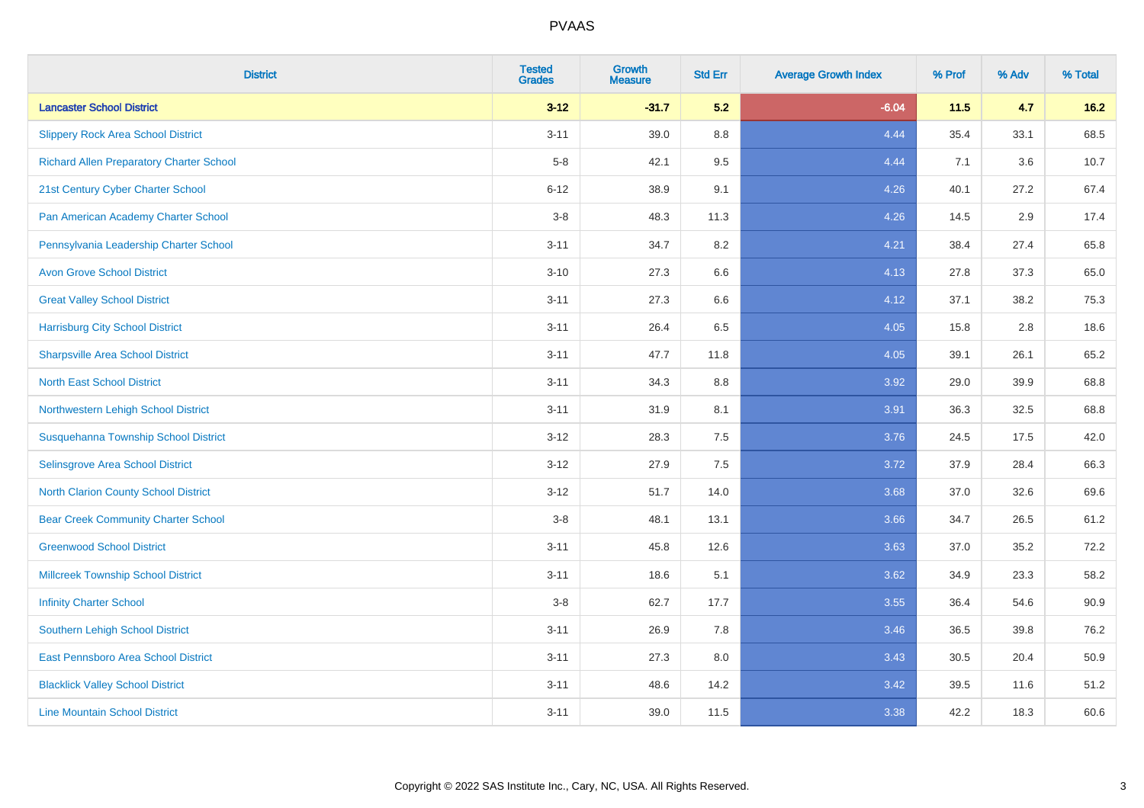| <b>District</b>                                 | <b>Tested</b><br><b>Grades</b> | Growth<br><b>Measure</b> | <b>Std Err</b> | <b>Average Growth Index</b> | % Prof | % Adv | % Total |
|-------------------------------------------------|--------------------------------|--------------------------|----------------|-----------------------------|--------|-------|---------|
| <b>Lancaster School District</b>                | $3 - 12$                       | $-31.7$                  | 5.2            | $-6.04$                     | 11.5   | 4.7   | $16.2$  |
| <b>Slippery Rock Area School District</b>       | $3 - 11$                       | 39.0                     | 8.8            | 4.44                        | 35.4   | 33.1  | 68.5    |
| <b>Richard Allen Preparatory Charter School</b> | $5-8$                          | 42.1                     | 9.5            | 4.44                        | 7.1    | 3.6   | 10.7    |
| 21st Century Cyber Charter School               | $6 - 12$                       | 38.9                     | 9.1            | 4.26                        | 40.1   | 27.2  | 67.4    |
| Pan American Academy Charter School             | $3-8$                          | 48.3                     | 11.3           | 4.26                        | 14.5   | 2.9   | 17.4    |
| Pennsylvania Leadership Charter School          | $3 - 11$                       | 34.7                     | $8.2\,$        | 4.21                        | 38.4   | 27.4  | 65.8    |
| <b>Avon Grove School District</b>               | $3 - 10$                       | 27.3                     | 6.6            | 4.13                        | 27.8   | 37.3  | 65.0    |
| <b>Great Valley School District</b>             | $3 - 11$                       | 27.3                     | 6.6            | 4.12                        | 37.1   | 38.2  | 75.3    |
| <b>Harrisburg City School District</b>          | $3 - 11$                       | 26.4                     | 6.5            | 4.05                        | 15.8   | 2.8   | 18.6    |
| <b>Sharpsville Area School District</b>         | $3 - 11$                       | 47.7                     | 11.8           | 4.05                        | 39.1   | 26.1  | 65.2    |
| <b>North East School District</b>               | $3 - 11$                       | 34.3                     | 8.8            | 3.92                        | 29.0   | 39.9  | 68.8    |
| Northwestern Lehigh School District             | $3 - 11$                       | 31.9                     | 8.1            | 3.91                        | 36.3   | 32.5  | 68.8    |
| Susquehanna Township School District            | $3-12$                         | 28.3                     | 7.5            | 3.76                        | 24.5   | 17.5  | 42.0    |
| Selinsgrove Area School District                | $3 - 12$                       | 27.9                     | 7.5            | 3.72                        | 37.9   | 28.4  | 66.3    |
| North Clarion County School District            | $3 - 12$                       | 51.7                     | 14.0           | 3.68                        | 37.0   | 32.6  | 69.6    |
| <b>Bear Creek Community Charter School</b>      | $3-8$                          | 48.1                     | 13.1           | 3.66                        | 34.7   | 26.5  | 61.2    |
| <b>Greenwood School District</b>                | $3 - 11$                       | 45.8                     | 12.6           | 3.63                        | 37.0   | 35.2  | 72.2    |
| <b>Millcreek Township School District</b>       | $3 - 11$                       | 18.6                     | 5.1            | 3.62                        | 34.9   | 23.3  | 58.2    |
| <b>Infinity Charter School</b>                  | $3-8$                          | 62.7                     | 17.7           | 3.55                        | 36.4   | 54.6  | 90.9    |
| <b>Southern Lehigh School District</b>          | $3 - 11$                       | 26.9                     | 7.8            | 3.46                        | 36.5   | 39.8  | 76.2    |
| East Pennsboro Area School District             | $3 - 11$                       | 27.3                     | 8.0            | 3.43                        | 30.5   | 20.4  | 50.9    |
| <b>Blacklick Valley School District</b>         | $3 - 11$                       | 48.6                     | 14.2           | 3.42                        | 39.5   | 11.6  | 51.2    |
| <b>Line Mountain School District</b>            | $3 - 11$                       | 39.0                     | 11.5           | 3.38                        | 42.2   | 18.3  | 60.6    |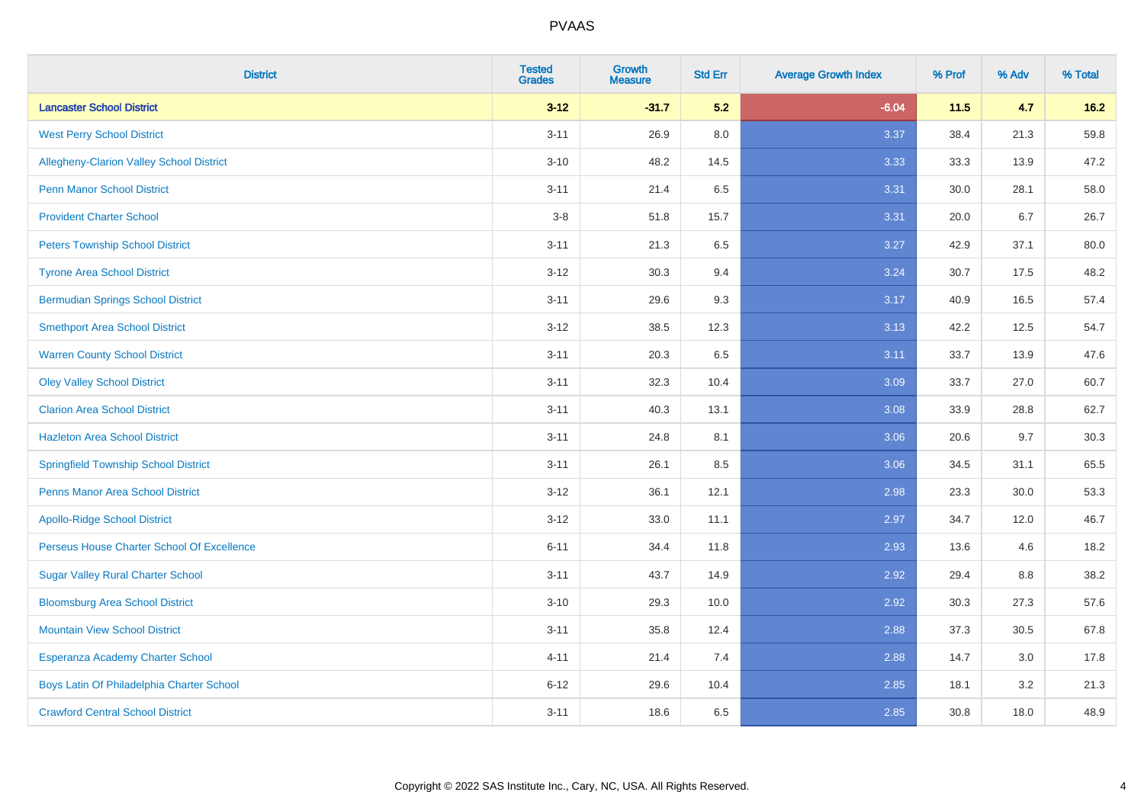| <b>District</b>                             | <b>Tested</b><br><b>Grades</b> | Growth<br><b>Measure</b> | <b>Std Err</b> | <b>Average Growth Index</b> | % Prof | % Adv | % Total |
|---------------------------------------------|--------------------------------|--------------------------|----------------|-----------------------------|--------|-------|---------|
| <b>Lancaster School District</b>            | $3-12$                         | $-31.7$                  | 5.2            | $-6.04$                     | 11.5   | 4.7   | $16.2$  |
| <b>West Perry School District</b>           | $3 - 11$                       | 26.9                     | 8.0            | 3.37                        | 38.4   | 21.3  | 59.8    |
| Allegheny-Clarion Valley School District    | $3 - 10$                       | 48.2                     | 14.5           | 3.33                        | 33.3   | 13.9  | 47.2    |
| <b>Penn Manor School District</b>           | $3 - 11$                       | 21.4                     | 6.5            | 3.31                        | 30.0   | 28.1  | 58.0    |
| <b>Provident Charter School</b>             | $3-8$                          | 51.8                     | 15.7           | 3.31                        | 20.0   | 6.7   | 26.7    |
| <b>Peters Township School District</b>      | $3 - 11$                       | 21.3                     | 6.5            | 3.27                        | 42.9   | 37.1  | 80.0    |
| <b>Tyrone Area School District</b>          | $3 - 12$                       | 30.3                     | 9.4            | 3.24                        | 30.7   | 17.5  | 48.2    |
| <b>Bermudian Springs School District</b>    | $3 - 11$                       | 29.6                     | 9.3            | 3.17                        | 40.9   | 16.5  | 57.4    |
| <b>Smethport Area School District</b>       | $3 - 12$                       | 38.5                     | 12.3           | 3.13                        | 42.2   | 12.5  | 54.7    |
| <b>Warren County School District</b>        | $3 - 11$                       | 20.3                     | 6.5            | 3.11                        | 33.7   | 13.9  | 47.6    |
| <b>Oley Valley School District</b>          | $3 - 11$                       | 32.3                     | 10.4           | 3.09                        | 33.7   | 27.0  | 60.7    |
| <b>Clarion Area School District</b>         | $3 - 11$                       | 40.3                     | 13.1           | 3.08                        | 33.9   | 28.8  | 62.7    |
| <b>Hazleton Area School District</b>        | $3 - 11$                       | 24.8                     | 8.1            | 3.06                        | 20.6   | 9.7   | 30.3    |
| <b>Springfield Township School District</b> | $3 - 11$                       | 26.1                     | 8.5            | 3.06                        | 34.5   | 31.1  | 65.5    |
| <b>Penns Manor Area School District</b>     | $3 - 12$                       | 36.1                     | 12.1           | 2.98                        | 23.3   | 30.0  | 53.3    |
| <b>Apollo-Ridge School District</b>         | $3 - 12$                       | 33.0                     | 11.1           | 2.97                        | 34.7   | 12.0  | 46.7    |
| Perseus House Charter School Of Excellence  | $6 - 11$                       | 34.4                     | 11.8           | 2.93                        | 13.6   | 4.6   | 18.2    |
| <b>Sugar Valley Rural Charter School</b>    | $3 - 11$                       | 43.7                     | 14.9           | 2.92                        | 29.4   | 8.8   | 38.2    |
| <b>Bloomsburg Area School District</b>      | $3 - 10$                       | 29.3                     | 10.0           | 2.92                        | 30.3   | 27.3  | 57.6    |
| <b>Mountain View School District</b>        | $3 - 11$                       | 35.8                     | 12.4           | 2.88                        | 37.3   | 30.5  | 67.8    |
| Esperanza Academy Charter School            | $4 - 11$                       | 21.4                     | 7.4            | 2.88                        | 14.7   | 3.0   | 17.8    |
| Boys Latin Of Philadelphia Charter School   | $6 - 12$                       | 29.6                     | 10.4           | 2.85                        | 18.1   | 3.2   | 21.3    |
| <b>Crawford Central School District</b>     | $3 - 11$                       | 18.6                     | 6.5            | 2.85                        | 30.8   | 18.0  | 48.9    |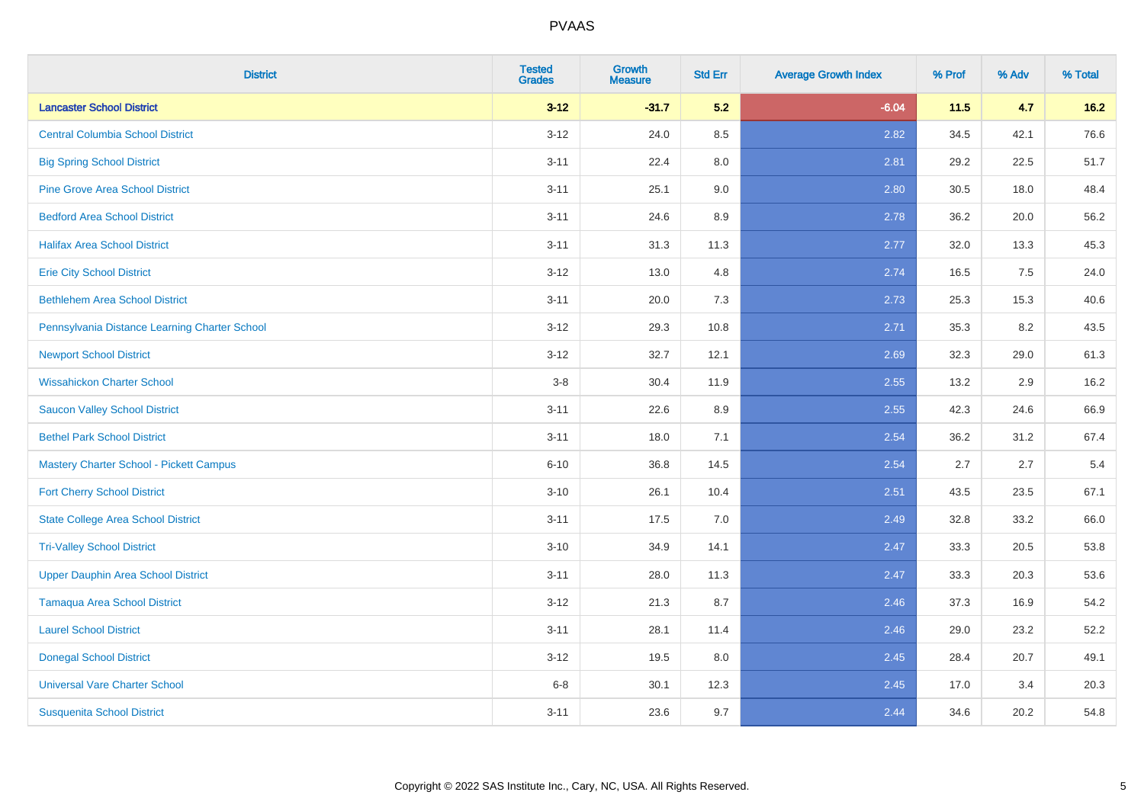| <b>District</b>                                | <b>Tested</b><br><b>Grades</b> | Growth<br><b>Measure</b> | <b>Std Err</b> | <b>Average Growth Index</b> | % Prof | % Adv | % Total |
|------------------------------------------------|--------------------------------|--------------------------|----------------|-----------------------------|--------|-------|---------|
| <b>Lancaster School District</b>               | $3-12$                         | $-31.7$                  | 5.2            | $-6.04$                     | $11.5$ | 4.7   | $16.2$  |
| <b>Central Columbia School District</b>        | $3 - 12$                       | 24.0                     | 8.5            | 2.82                        | 34.5   | 42.1  | 76.6    |
| <b>Big Spring School District</b>              | $3 - 11$                       | 22.4                     | 8.0            | 2.81                        | 29.2   | 22.5  | 51.7    |
| <b>Pine Grove Area School District</b>         | $3 - 11$                       | 25.1                     | 9.0            | 2.80                        | 30.5   | 18.0  | 48.4    |
| <b>Bedford Area School District</b>            | $3 - 11$                       | 24.6                     | 8.9            | 2.78                        | 36.2   | 20.0  | 56.2    |
| <b>Halifax Area School District</b>            | $3 - 11$                       | 31.3                     | 11.3           | 2.77                        | 32.0   | 13.3  | 45.3    |
| <b>Erie City School District</b>               | $3 - 12$                       | 13.0                     | 4.8            | 2.74                        | 16.5   | 7.5   | 24.0    |
| <b>Bethlehem Area School District</b>          | $3 - 11$                       | 20.0                     | 7.3            | 2.73                        | 25.3   | 15.3  | 40.6    |
| Pennsylvania Distance Learning Charter School  | $3 - 12$                       | 29.3                     | 10.8           | 2.71                        | 35.3   | 8.2   | 43.5    |
| <b>Newport School District</b>                 | $3 - 12$                       | 32.7                     | 12.1           | 2.69                        | 32.3   | 29.0  | 61.3    |
| <b>Wissahickon Charter School</b>              | $3-8$                          | 30.4                     | 11.9           | 2.55                        | 13.2   | 2.9   | 16.2    |
| <b>Saucon Valley School District</b>           | $3 - 11$                       | 22.6                     | 8.9            | 2.55                        | 42.3   | 24.6  | 66.9    |
| <b>Bethel Park School District</b>             | $3 - 11$                       | 18.0                     | 7.1            | 2.54                        | 36.2   | 31.2  | 67.4    |
| <b>Mastery Charter School - Pickett Campus</b> | $6 - 10$                       | 36.8                     | 14.5           | 2.54                        | 2.7    | 2.7   | $5.4$   |
| <b>Fort Cherry School District</b>             | $3 - 10$                       | 26.1                     | 10.4           | 2.51                        | 43.5   | 23.5  | 67.1    |
| <b>State College Area School District</b>      | $3 - 11$                       | 17.5                     | 7.0            | 2.49                        | 32.8   | 33.2  | 66.0    |
| <b>Tri-Valley School District</b>              | $3 - 10$                       | 34.9                     | 14.1           | 2.47                        | 33.3   | 20.5  | 53.8    |
| <b>Upper Dauphin Area School District</b>      | $3 - 11$                       | 28.0                     | 11.3           | 2.47                        | 33.3   | 20.3  | 53.6    |
| <b>Tamaqua Area School District</b>            | $3 - 12$                       | 21.3                     | 8.7            | 2.46                        | 37.3   | 16.9  | 54.2    |
| <b>Laurel School District</b>                  | $3 - 11$                       | 28.1                     | 11.4           | 2.46                        | 29.0   | 23.2  | 52.2    |
| <b>Donegal School District</b>                 | $3 - 12$                       | 19.5                     | 8.0            | 2.45                        | 28.4   | 20.7  | 49.1    |
| <b>Universal Vare Charter School</b>           | $6 - 8$                        | 30.1                     | 12.3           | 2.45                        | 17.0   | 3.4   | 20.3    |
| <b>Susquenita School District</b>              | $3 - 11$                       | 23.6                     | 9.7            | 2.44                        | 34.6   | 20.2  | 54.8    |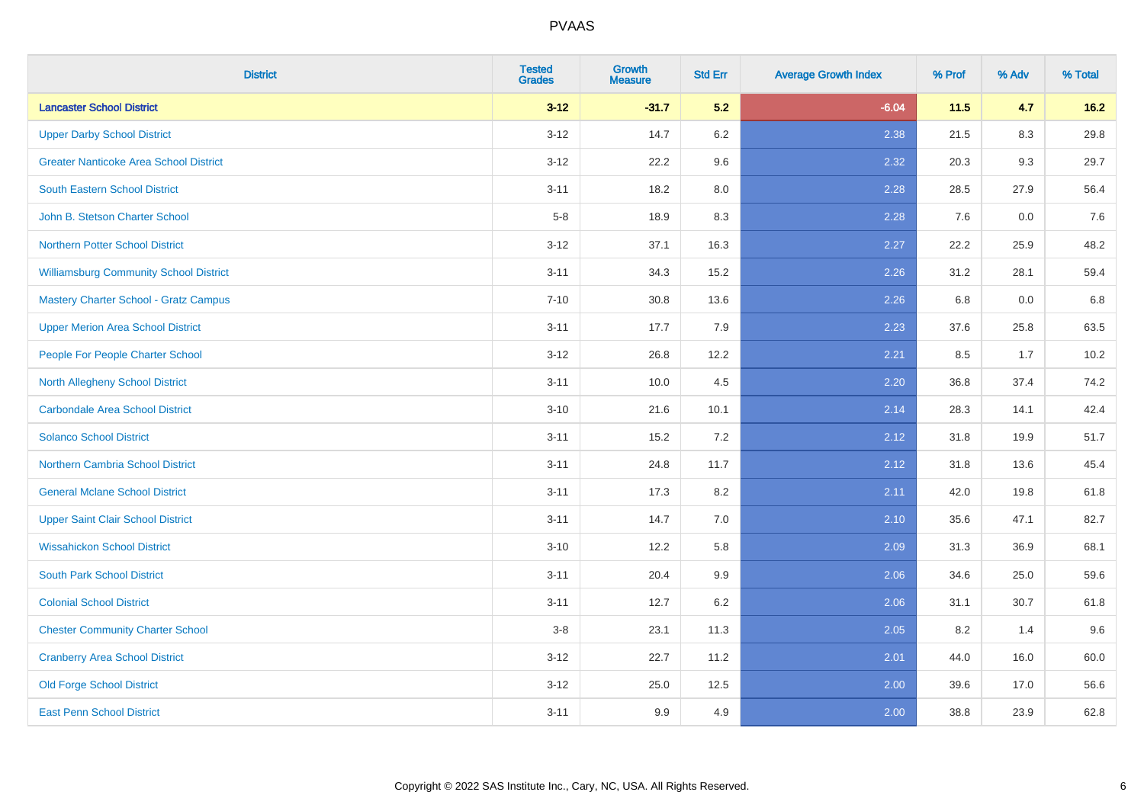| <b>District</b>                               | <b>Tested</b><br><b>Grades</b> | Growth<br><b>Measure</b> | <b>Std Err</b> | <b>Average Growth Index</b> | % Prof | % Adv | % Total |
|-----------------------------------------------|--------------------------------|--------------------------|----------------|-----------------------------|--------|-------|---------|
| <b>Lancaster School District</b>              | $3-12$                         | $-31.7$                  | 5.2            | $-6.04$                     | 11.5   | 4.7   | $16.2$  |
| <b>Upper Darby School District</b>            | $3 - 12$                       | 14.7                     | 6.2            | 2.38                        | 21.5   | 8.3   | 29.8    |
| <b>Greater Nanticoke Area School District</b> | $3 - 12$                       | 22.2                     | 9.6            | 2.32                        | 20.3   | 9.3   | 29.7    |
| <b>South Eastern School District</b>          | $3 - 11$                       | 18.2                     | 8.0            | 2.28                        | 28.5   | 27.9  | 56.4    |
| John B. Stetson Charter School                | $5-8$                          | 18.9                     | 8.3            | 2.28                        | 7.6    | 0.0   | 7.6     |
| <b>Northern Potter School District</b>        | $3 - 12$                       | 37.1                     | 16.3           | 2.27                        | 22.2   | 25.9  | 48.2    |
| <b>Williamsburg Community School District</b> | $3 - 11$                       | 34.3                     | 15.2           | 2.26                        | 31.2   | 28.1  | 59.4    |
| <b>Mastery Charter School - Gratz Campus</b>  | $7 - 10$                       | 30.8                     | 13.6           | 2.26                        | 6.8    | 0.0   | 6.8     |
| <b>Upper Merion Area School District</b>      | $3 - 11$                       | 17.7                     | 7.9            | 2.23                        | 37.6   | 25.8  | 63.5    |
| People For People Charter School              | $3-12$                         | 26.8                     | 12.2           | 2.21                        | 8.5    | 1.7   | 10.2    |
| North Allegheny School District               | $3 - 11$                       | 10.0                     | 4.5            | 2.20                        | 36.8   | 37.4  | 74.2    |
| <b>Carbondale Area School District</b>        | $3 - 10$                       | 21.6                     | 10.1           | 2.14                        | 28.3   | 14.1  | 42.4    |
| <b>Solanco School District</b>                | $3 - 11$                       | 15.2                     | 7.2            | 2.12                        | 31.8   | 19.9  | 51.7    |
| <b>Northern Cambria School District</b>       | $3 - 11$                       | 24.8                     | 11.7           | 2.12                        | 31.8   | 13.6  | 45.4    |
| <b>General Mclane School District</b>         | $3 - 11$                       | 17.3                     | 8.2            | 2.11                        | 42.0   | 19.8  | 61.8    |
| <b>Upper Saint Clair School District</b>      | $3 - 11$                       | 14.7                     | 7.0            | 2.10                        | 35.6   | 47.1  | 82.7    |
| <b>Wissahickon School District</b>            | $3 - 10$                       | 12.2                     | 5.8            | 2.09                        | 31.3   | 36.9  | 68.1    |
| <b>South Park School District</b>             | $3 - 11$                       | 20.4                     | 9.9            | 2.06                        | 34.6   | 25.0  | 59.6    |
| <b>Colonial School District</b>               | $3 - 11$                       | 12.7                     | 6.2            | 2.06                        | 31.1   | 30.7  | 61.8    |
| <b>Chester Community Charter School</b>       | $3 - 8$                        | 23.1                     | 11.3           | 2.05                        | 8.2    | 1.4   | 9.6     |
| <b>Cranberry Area School District</b>         | $3 - 12$                       | 22.7                     | 11.2           | 2.01                        | 44.0   | 16.0  | 60.0    |
| <b>Old Forge School District</b>              | $3 - 12$                       | 25.0                     | 12.5           | 2.00                        | 39.6   | 17.0  | 56.6    |
| <b>East Penn School District</b>              | $3 - 11$                       | 9.9                      | 4.9            | 2.00                        | 38.8   | 23.9  | 62.8    |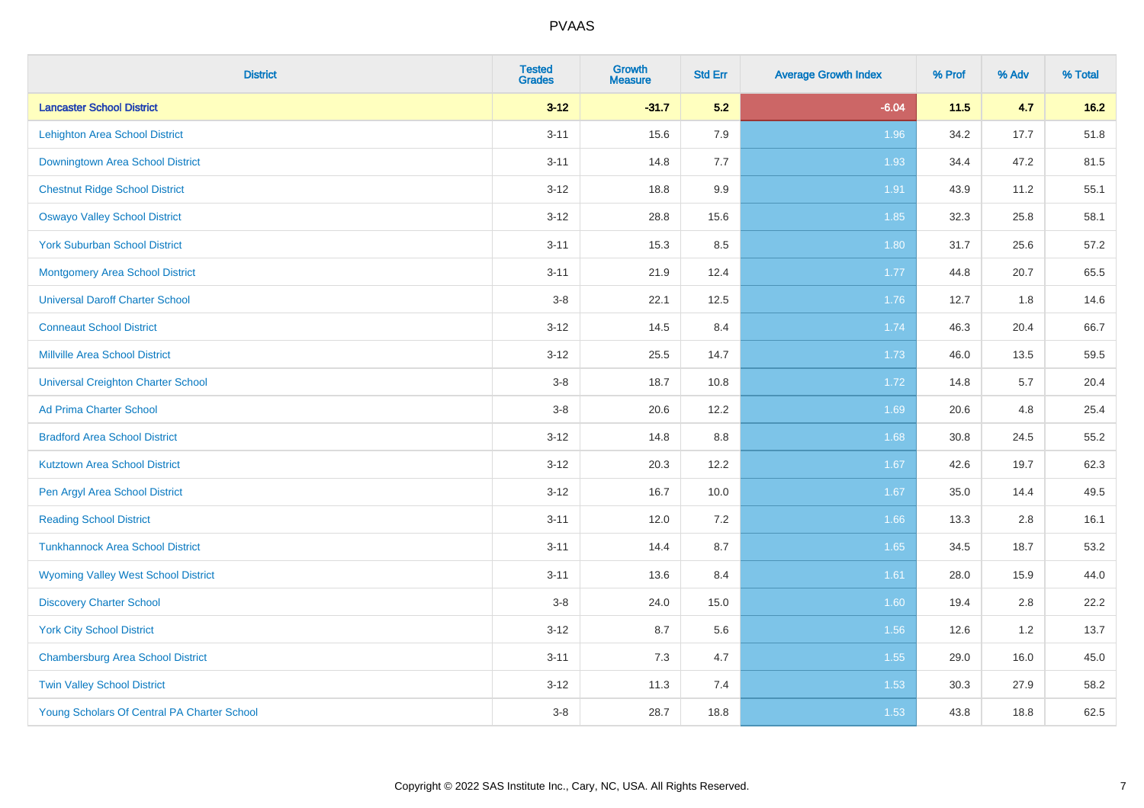| <b>District</b>                             | <b>Tested</b><br><b>Grades</b> | Growth<br><b>Measure</b> | <b>Std Err</b> | <b>Average Growth Index</b> | % Prof | % Adv | % Total |
|---------------------------------------------|--------------------------------|--------------------------|----------------|-----------------------------|--------|-------|---------|
| <b>Lancaster School District</b>            | $3-12$                         | $-31.7$                  | 5.2            | $-6.04$                     | 11.5   | 4.7   | $16.2$  |
| Lehighton Area School District              | $3 - 11$                       | 15.6                     | 7.9            | 1.96                        | 34.2   | 17.7  | 51.8    |
| Downingtown Area School District            | $3 - 11$                       | 14.8                     | 7.7            | 1.93                        | 34.4   | 47.2  | 81.5    |
| <b>Chestnut Ridge School District</b>       | $3 - 12$                       | 18.8                     | 9.9            | 1.91                        | 43.9   | 11.2  | 55.1    |
| <b>Oswayo Valley School District</b>        | $3 - 12$                       | 28.8                     | 15.6           | 1.85                        | 32.3   | 25.8  | 58.1    |
| <b>York Suburban School District</b>        | $3 - 11$                       | 15.3                     | 8.5            | 1.80                        | 31.7   | 25.6  | 57.2    |
| <b>Montgomery Area School District</b>      | $3 - 11$                       | 21.9                     | 12.4           | 1.77                        | 44.8   | 20.7  | 65.5    |
| <b>Universal Daroff Charter School</b>      | $3 - 8$                        | 22.1                     | 12.5           | 1.76                        | 12.7   | 1.8   | 14.6    |
| <b>Conneaut School District</b>             | $3 - 12$                       | 14.5                     | 8.4            | 1.74                        | 46.3   | 20.4  | 66.7    |
| <b>Millville Area School District</b>       | $3 - 12$                       | 25.5                     | 14.7           | 1.73                        | 46.0   | 13.5  | 59.5    |
| <b>Universal Creighton Charter School</b>   | $3 - 8$                        | 18.7                     | 10.8           | 1.72                        | 14.8   | 5.7   | 20.4    |
| <b>Ad Prima Charter School</b>              | $3-8$                          | 20.6                     | 12.2           | 1.69                        | 20.6   | 4.8   | 25.4    |
| <b>Bradford Area School District</b>        | $3 - 12$                       | 14.8                     | 8.8            | 1.68                        | 30.8   | 24.5  | 55.2    |
| <b>Kutztown Area School District</b>        | $3 - 12$                       | 20.3                     | 12.2           | 1.67                        | 42.6   | 19.7  | 62.3    |
| Pen Argyl Area School District              | $3 - 12$                       | 16.7                     | 10.0           | 1.67                        | 35.0   | 14.4  | 49.5    |
| <b>Reading School District</b>              | $3 - 11$                       | 12.0                     | 7.2            | 1.66                        | 13.3   | 2.8   | 16.1    |
| <b>Tunkhannock Area School District</b>     | $3 - 11$                       | 14.4                     | 8.7            | 1.65                        | 34.5   | 18.7  | 53.2    |
| <b>Wyoming Valley West School District</b>  | $3 - 11$                       | 13.6                     | 8.4            | 1.61                        | 28.0   | 15.9  | 44.0    |
| <b>Discovery Charter School</b>             | $3 - 8$                        | 24.0                     | 15.0           | 1.60                        | 19.4   | 2.8   | 22.2    |
| <b>York City School District</b>            | $3 - 12$                       | 8.7                      | 5.6            | 1.56                        | 12.6   | 1.2   | 13.7    |
| <b>Chambersburg Area School District</b>    | $3 - 11$                       | 7.3                      | 4.7            | 1.55                        | 29.0   | 16.0  | 45.0    |
| <b>Twin Valley School District</b>          | $3 - 12$                       | 11.3                     | 7.4            | 1.53                        | 30.3   | 27.9  | 58.2    |
| Young Scholars Of Central PA Charter School | $3 - 8$                        | 28.7                     | 18.8           | 1.53                        | 43.8   | 18.8  | 62.5    |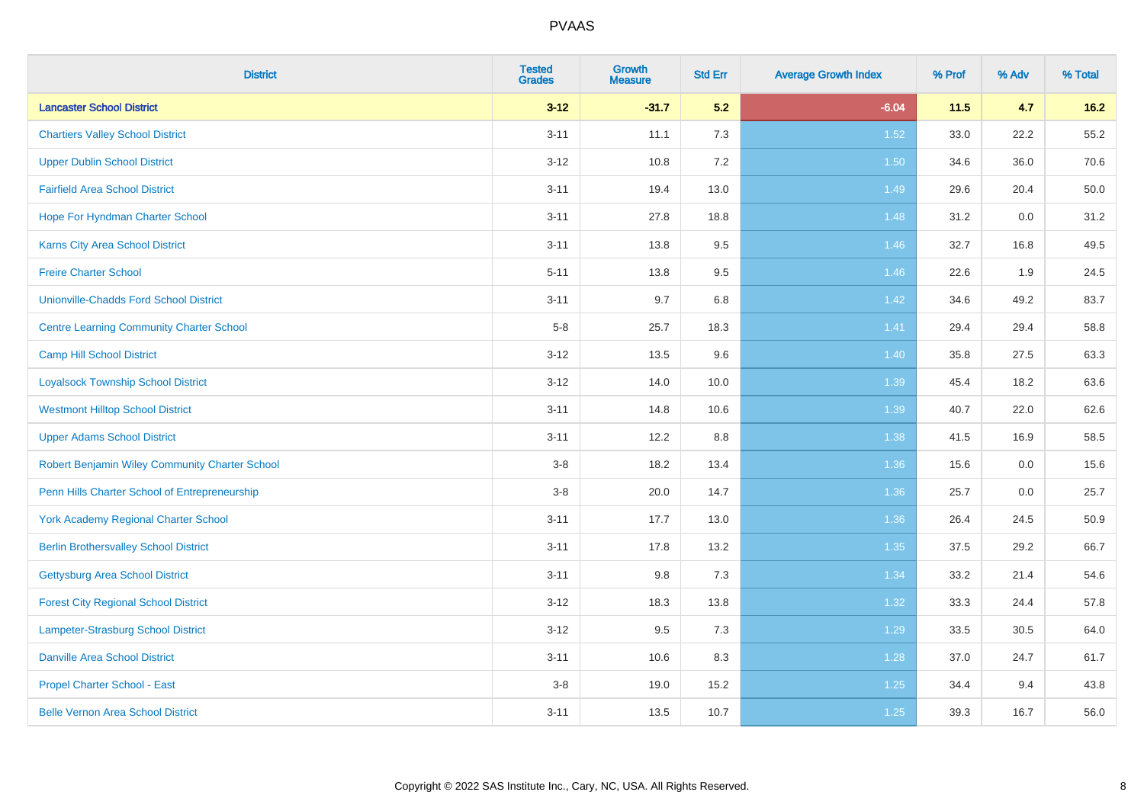| <b>District</b>                                 | <b>Tested</b><br><b>Grades</b> | <b>Growth</b><br><b>Measure</b> | <b>Std Err</b> | <b>Average Growth Index</b> | % Prof | % Adv | % Total |
|-------------------------------------------------|--------------------------------|---------------------------------|----------------|-----------------------------|--------|-------|---------|
| <b>Lancaster School District</b>                | $3 - 12$                       | $-31.7$                         | 5.2            | $-6.04$                     | 11.5   | 4.7   | $16.2$  |
| <b>Chartiers Valley School District</b>         | $3 - 11$                       | 11.1                            | 7.3            | 1.52                        | 33.0   | 22.2  | 55.2    |
| <b>Upper Dublin School District</b>             | $3 - 12$                       | 10.8                            | 7.2            | 1.50                        | 34.6   | 36.0  | 70.6    |
| <b>Fairfield Area School District</b>           | $3 - 11$                       | 19.4                            | 13.0           | 1.49                        | 29.6   | 20.4  | 50.0    |
| Hope For Hyndman Charter School                 | $3 - 11$                       | 27.8                            | 18.8           | 1.48                        | 31.2   | 0.0   | 31.2    |
| <b>Karns City Area School District</b>          | $3 - 11$                       | 13.8                            | 9.5            | 1.46                        | 32.7   | 16.8  | 49.5    |
| <b>Freire Charter School</b>                    | $5 - 11$                       | 13.8                            | $9.5\,$        | 1.46                        | 22.6   | 1.9   | 24.5    |
| <b>Unionville-Chadds Ford School District</b>   | $3 - 11$                       | 9.7                             | 6.8            | 1.42                        | 34.6   | 49.2  | 83.7    |
| <b>Centre Learning Community Charter School</b> | $5-8$                          | 25.7                            | 18.3           | 1.41                        | 29.4   | 29.4  | 58.8    |
| <b>Camp Hill School District</b>                | $3 - 12$                       | 13.5                            | 9.6            | 1.40                        | 35.8   | 27.5  | 63.3    |
| <b>Loyalsock Township School District</b>       | $3 - 12$                       | 14.0                            | 10.0           | 1.39                        | 45.4   | 18.2  | 63.6    |
| <b>Westmont Hilltop School District</b>         | $3 - 11$                       | 14.8                            | 10.6           | 1.39                        | 40.7   | 22.0  | 62.6    |
| <b>Upper Adams School District</b>              | $3 - 11$                       | 12.2                            | 8.8            | 1.38                        | 41.5   | 16.9  | 58.5    |
| Robert Benjamin Wiley Community Charter School  | $3-8$                          | 18.2                            | 13.4           | 1.36                        | 15.6   | 0.0   | 15.6    |
| Penn Hills Charter School of Entrepreneurship   | $3 - 8$                        | 20.0                            | 14.7           | 1.36                        | 25.7   | 0.0   | 25.7    |
| <b>York Academy Regional Charter School</b>     | $3 - 11$                       | 17.7                            | 13.0           | 1.36                        | 26.4   | 24.5  | 50.9    |
| <b>Berlin Brothersvalley School District</b>    | $3 - 11$                       | 17.8                            | 13.2           | 1.35                        | 37.5   | 29.2  | 66.7    |
| Gettysburg Area School District                 | $3 - 11$                       | 9.8                             | 7.3            | 1.34                        | 33.2   | 21.4  | 54.6    |
| <b>Forest City Regional School District</b>     | $3 - 12$                       | 18.3                            | 13.8           | 1.32                        | 33.3   | 24.4  | 57.8    |
| Lampeter-Strasburg School District              | $3-12$                         | 9.5                             | 7.3            | 1.29                        | 33.5   | 30.5  | 64.0    |
| <b>Danville Area School District</b>            | $3 - 11$                       | 10.6                            | 8.3            | 1.28                        | 37.0   | 24.7  | 61.7    |
| <b>Propel Charter School - East</b>             | $3-8$                          | 19.0                            | 15.2           | $1.25$                      | 34.4   | 9.4   | 43.8    |
| <b>Belle Vernon Area School District</b>        | $3 - 11$                       | 13.5                            | 10.7           | $1.25$                      | 39.3   | 16.7  | 56.0    |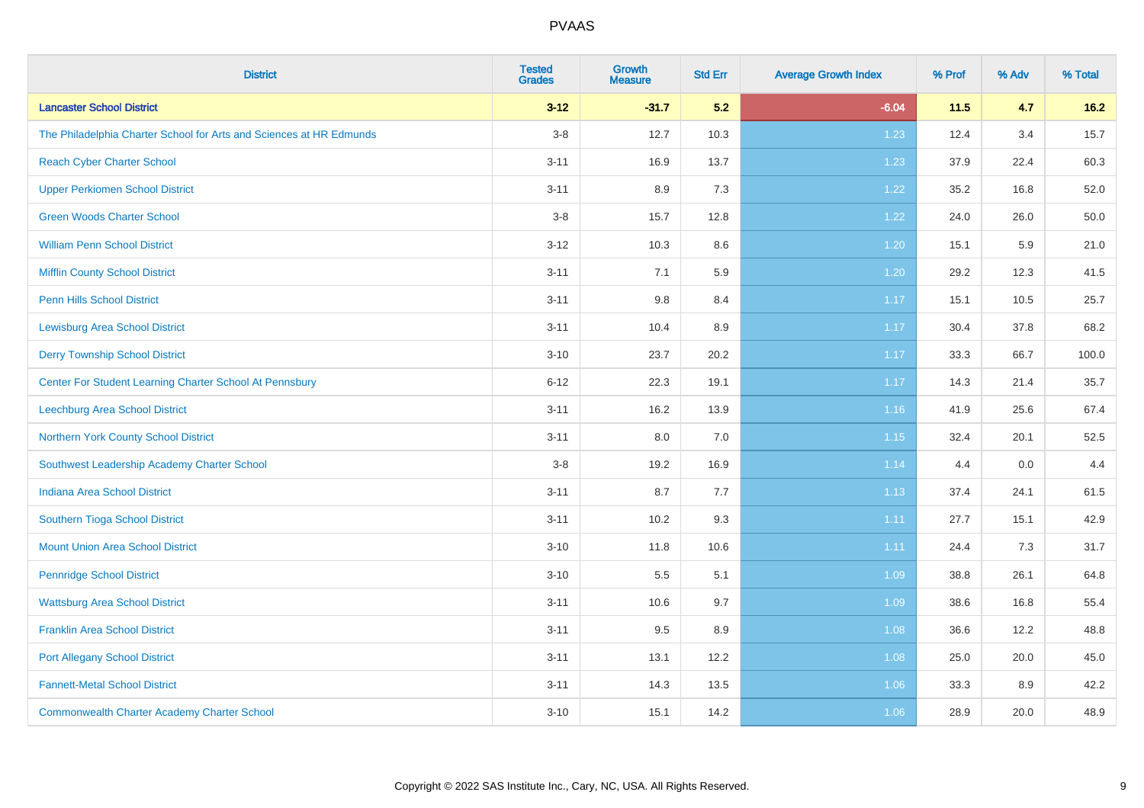| <b>District</b>                                                     | <b>Tested</b><br><b>Grades</b> | Growth<br><b>Measure</b> | <b>Std Err</b> | <b>Average Growth Index</b> | % Prof | % Adv | % Total |
|---------------------------------------------------------------------|--------------------------------|--------------------------|----------------|-----------------------------|--------|-------|---------|
| <b>Lancaster School District</b>                                    | $3 - 12$                       | $-31.7$                  | 5.2            | $-6.04$                     | 11.5   | 4.7   | 16.2    |
| The Philadelphia Charter School for Arts and Sciences at HR Edmunds | $3-8$                          | 12.7                     | 10.3           | 1.23                        | 12.4   | 3.4   | 15.7    |
| <b>Reach Cyber Charter School</b>                                   | $3 - 11$                       | 16.9                     | 13.7           | 1.23                        | 37.9   | 22.4  | 60.3    |
| <b>Upper Perkiomen School District</b>                              | $3 - 11$                       | 8.9                      | 7.3            | 1.22                        | 35.2   | 16.8  | 52.0    |
| <b>Green Woods Charter School</b>                                   | $3 - 8$                        | 15.7                     | 12.8           | 1.22                        | 24.0   | 26.0  | 50.0    |
| <b>William Penn School District</b>                                 | $3 - 12$                       | 10.3                     | 8.6            | 1.20                        | 15.1   | 5.9   | 21.0    |
| <b>Mifflin County School District</b>                               | $3 - 11$                       | 7.1                      | 5.9            | 1.20                        | 29.2   | 12.3  | 41.5    |
| <b>Penn Hills School District</b>                                   | $3 - 11$                       | $9.8\,$                  | 8.4            | 1.17                        | 15.1   | 10.5  | 25.7    |
| <b>Lewisburg Area School District</b>                               | $3 - 11$                       | 10.4                     | 8.9            | 1.17                        | 30.4   | 37.8  | 68.2    |
| <b>Derry Township School District</b>                               | $3 - 10$                       | 23.7                     | 20.2           | 1.17                        | 33.3   | 66.7  | 100.0   |
| Center For Student Learning Charter School At Pennsbury             | $6 - 12$                       | 22.3                     | 19.1           | 1.17                        | 14.3   | 21.4  | 35.7    |
| Leechburg Area School District                                      | $3 - 11$                       | 16.2                     | 13.9           | 1.16                        | 41.9   | 25.6  | 67.4    |
| Northern York County School District                                | $3 - 11$                       | 8.0                      | 7.0            | 1.15                        | 32.4   | 20.1  | 52.5    |
| Southwest Leadership Academy Charter School                         | $3 - 8$                        | 19.2                     | 16.9           | 1.14                        | 4.4    | 0.0   | 4.4     |
| <b>Indiana Area School District</b>                                 | $3 - 11$                       | 8.7                      | 7.7            | 1.13                        | 37.4   | 24.1  | 61.5    |
| Southern Tioga School District                                      | $3 - 11$                       | 10.2                     | 9.3            | 1.11                        | 27.7   | 15.1  | 42.9    |
| <b>Mount Union Area School District</b>                             | $3 - 10$                       | 11.8                     | 10.6           | 1.11                        | 24.4   | 7.3   | 31.7    |
| <b>Pennridge School District</b>                                    | $3 - 10$                       | 5.5                      | 5.1            | 1.09                        | 38.8   | 26.1  | 64.8    |
| <b>Wattsburg Area School District</b>                               | $3 - 11$                       | 10.6                     | 9.7            | 1.09                        | 38.6   | 16.8  | 55.4    |
| <b>Franklin Area School District</b>                                | $3 - 11$                       | 9.5                      | 8.9            | 1.08                        | 36.6   | 12.2  | 48.8    |
| <b>Port Allegany School District</b>                                | $3 - 11$                       | 13.1                     | 12.2           | 1.08                        | 25.0   | 20.0  | 45.0    |
| <b>Fannett-Metal School District</b>                                | $3 - 11$                       | 14.3                     | 13.5           | 1.06                        | 33.3   | 8.9   | 42.2    |
| <b>Commonwealth Charter Academy Charter School</b>                  | $3 - 10$                       | 15.1                     | 14.2           | 1.06                        | 28.9   | 20.0  | 48.9    |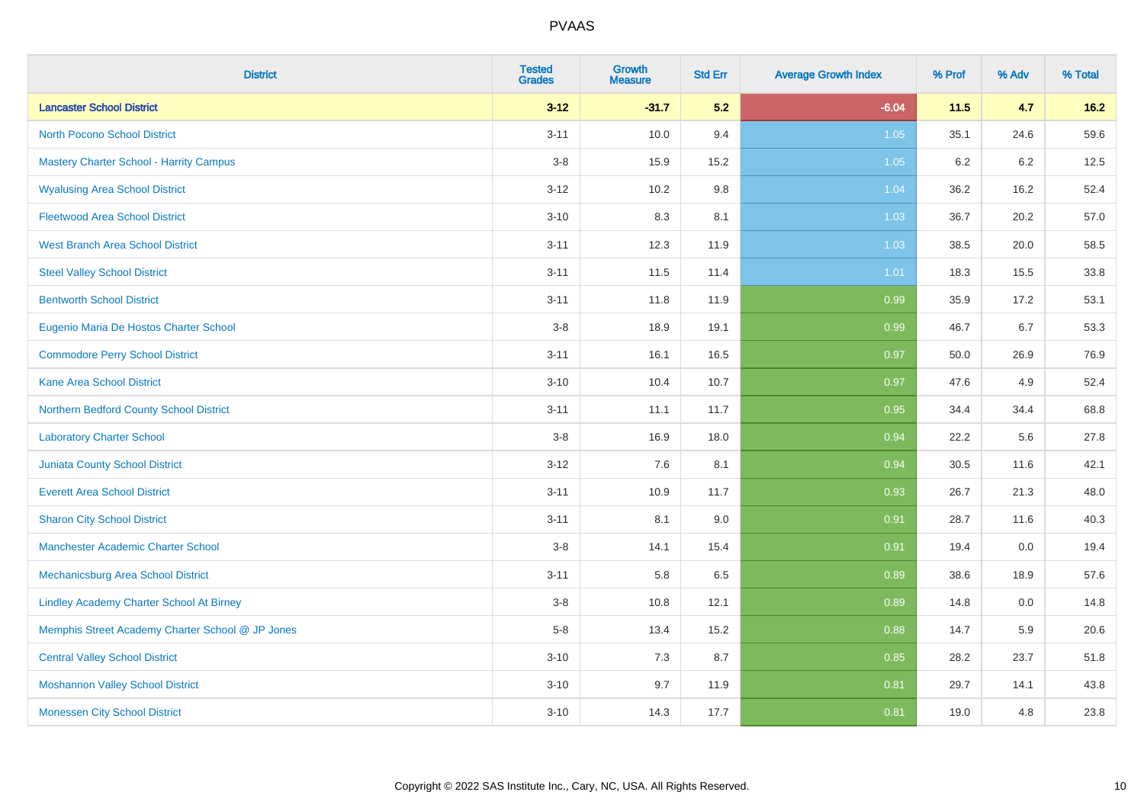| <b>District</b>                                  | <b>Tested</b><br><b>Grades</b> | <b>Growth</b><br><b>Measure</b> | <b>Std Err</b> | <b>Average Growth Index</b> | % Prof | % Adv | % Total |
|--------------------------------------------------|--------------------------------|---------------------------------|----------------|-----------------------------|--------|-------|---------|
| <b>Lancaster School District</b>                 | $3 - 12$                       | $-31.7$                         | 5.2            | $-6.04$                     | $11.5$ | 4.7   | $16.2$  |
| <b>North Pocono School District</b>              | $3 - 11$                       | 10.0                            | 9.4            | 1.05                        | 35.1   | 24.6  | 59.6    |
| <b>Mastery Charter School - Harrity Campus</b>   | $3-8$                          | 15.9                            | 15.2           | 1.05                        | 6.2    | 6.2   | 12.5    |
| <b>Wyalusing Area School District</b>            | $3 - 12$                       | 10.2                            | 9.8            | 1.04                        | 36.2   | 16.2  | 52.4    |
| <b>Fleetwood Area School District</b>            | $3 - 10$                       | 8.3                             | 8.1            | 1.03                        | 36.7   | 20.2  | 57.0    |
| <b>West Branch Area School District</b>          | $3 - 11$                       | 12.3                            | 11.9           | 1.03                        | 38.5   | 20.0  | 58.5    |
| <b>Steel Valley School District</b>              | $3 - 11$                       | 11.5                            | 11.4           | 1.01                        | 18.3   | 15.5  | 33.8    |
| <b>Bentworth School District</b>                 | $3 - 11$                       | 11.8                            | 11.9           | 0.99                        | 35.9   | 17.2  | 53.1    |
| Eugenio Maria De Hostos Charter School           | $3-8$                          | 18.9                            | 19.1           | 0.99                        | 46.7   | 6.7   | 53.3    |
| <b>Commodore Perry School District</b>           | $3 - 11$                       | 16.1                            | 16.5           | 0.97                        | 50.0   | 26.9  | 76.9    |
| <b>Kane Area School District</b>                 | $3 - 10$                       | 10.4                            | 10.7           | 0.97                        | 47.6   | 4.9   | 52.4    |
| Northern Bedford County School District          | $3 - 11$                       | 11.1                            | 11.7           | 0.95                        | 34.4   | 34.4  | 68.8    |
| <b>Laboratory Charter School</b>                 | $3-8$                          | 16.9                            | 18.0           | 0.94                        | 22.2   | 5.6   | 27.8    |
| <b>Juniata County School District</b>            | $3 - 12$                       | 7.6                             | 8.1            | 0.94                        | 30.5   | 11.6  | 42.1    |
| <b>Everett Area School District</b>              | $3 - 11$                       | 10.9                            | 11.7           | 0.93                        | 26.7   | 21.3  | 48.0    |
| <b>Sharon City School District</b>               | $3 - 11$                       | 8.1                             | 9.0            | 0.91                        | 28.7   | 11.6  | 40.3    |
| <b>Manchester Academic Charter School</b>        | $3-8$                          | 14.1                            | 15.4           | 0.91                        | 19.4   | 0.0   | 19.4    |
| <b>Mechanicsburg Area School District</b>        | $3 - 11$                       | 5.8                             | 6.5            | 0.89                        | 38.6   | 18.9  | 57.6    |
| <b>Lindley Academy Charter School At Birney</b>  | $3-8$                          | 10.8                            | 12.1           | 0.89                        | 14.8   | 0.0   | 14.8    |
| Memphis Street Academy Charter School @ JP Jones | $5-8$                          | 13.4                            | 15.2           | 0.88                        | 14.7   | 5.9   | 20.6    |
| <b>Central Valley School District</b>            | $3 - 10$                       | 7.3                             | 8.7            | 0.85                        | 28.2   | 23.7  | 51.8    |
| <b>Moshannon Valley School District</b>          | $3 - 10$                       | 9.7                             | 11.9           | 0.81                        | 29.7   | 14.1  | 43.8    |
| <b>Monessen City School District</b>             | $3 - 10$                       | 14.3                            | 17.7           | 0.81                        | 19.0   | 4.8   | 23.8    |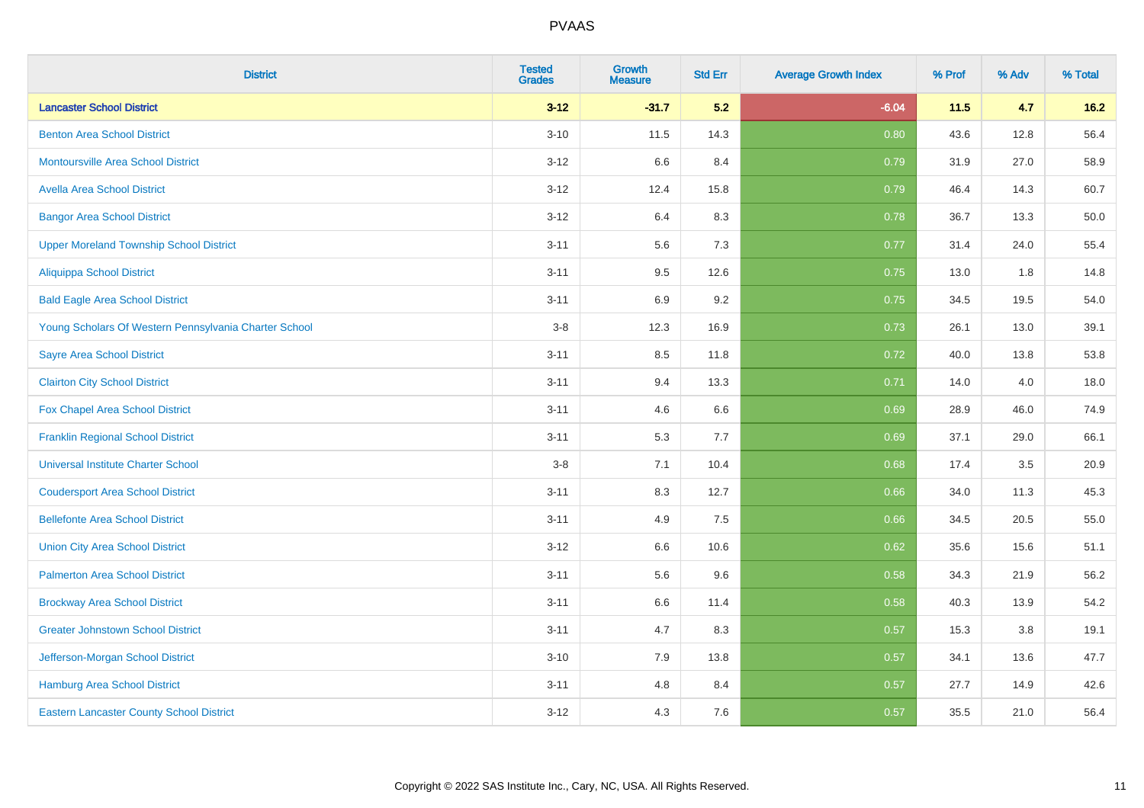| <b>District</b>                                       | <b>Tested</b><br><b>Grades</b> | Growth<br><b>Measure</b> | <b>Std Err</b> | <b>Average Growth Index</b> | % Prof | % Adv | % Total |
|-------------------------------------------------------|--------------------------------|--------------------------|----------------|-----------------------------|--------|-------|---------|
| <b>Lancaster School District</b>                      | $3-12$                         | $-31.7$                  | 5.2            | $-6.04$                     | $11.5$ | 4.7   | $16.2$  |
| <b>Benton Area School District</b>                    | $3 - 10$                       | 11.5                     | 14.3           | 0.80                        | 43.6   | 12.8  | 56.4    |
| <b>Montoursville Area School District</b>             | $3 - 12$                       | 6.6                      | 8.4            | 0.79                        | 31.9   | 27.0  | 58.9    |
| <b>Avella Area School District</b>                    | $3 - 12$                       | 12.4                     | 15.8           | 0.79                        | 46.4   | 14.3  | 60.7    |
| <b>Bangor Area School District</b>                    | $3 - 12$                       | 6.4                      | 8.3            | 0.78                        | 36.7   | 13.3  | 50.0    |
| <b>Upper Moreland Township School District</b>        | $3 - 11$                       | 5.6                      | 7.3            | 0.77                        | 31.4   | 24.0  | 55.4    |
| <b>Aliquippa School District</b>                      | $3 - 11$                       | 9.5                      | 12.6           | 0.75                        | 13.0   | 1.8   | 14.8    |
| <b>Bald Eagle Area School District</b>                | $3 - 11$                       | 6.9                      | 9.2            | 0.75                        | 34.5   | 19.5  | 54.0    |
| Young Scholars Of Western Pennsylvania Charter School | $3 - 8$                        | 12.3                     | 16.9           | 0.73                        | 26.1   | 13.0  | 39.1    |
| <b>Sayre Area School District</b>                     | $3 - 11$                       | 8.5                      | 11.8           | 0.72                        | 40.0   | 13.8  | 53.8    |
| <b>Clairton City School District</b>                  | $3 - 11$                       | 9.4                      | 13.3           | 0.71                        | 14.0   | 4.0   | 18.0    |
| Fox Chapel Area School District                       | $3 - 11$                       | 4.6                      | 6.6            | 0.69                        | 28.9   | 46.0  | 74.9    |
| <b>Franklin Regional School District</b>              | $3 - 11$                       | 5.3                      | 7.7            | 0.69                        | 37.1   | 29.0  | 66.1    |
| <b>Universal Institute Charter School</b>             | $3-8$                          | 7.1                      | 10.4           | 0.68                        | 17.4   | 3.5   | 20.9    |
| <b>Coudersport Area School District</b>               | $3 - 11$                       | 8.3                      | 12.7           | 0.66                        | 34.0   | 11.3  | 45.3    |
| <b>Bellefonte Area School District</b>                | $3 - 11$                       | 4.9                      | 7.5            | 0.66                        | 34.5   | 20.5  | 55.0    |
| <b>Union City Area School District</b>                | $3 - 12$                       | 6.6                      | 10.6           | 0.62                        | 35.6   | 15.6  | 51.1    |
| <b>Palmerton Area School District</b>                 | $3 - 11$                       | 5.6                      | 9.6            | 0.58                        | 34.3   | 21.9  | 56.2    |
| <b>Brockway Area School District</b>                  | $3 - 11$                       | 6.6                      | 11.4           | 0.58                        | 40.3   | 13.9  | 54.2    |
| <b>Greater Johnstown School District</b>              | $3 - 11$                       | 4.7                      | 8.3            | 0.57                        | 15.3   | 3.8   | 19.1    |
| Jefferson-Morgan School District                      | $3 - 10$                       | 7.9                      | 13.8           | 0.57                        | 34.1   | 13.6  | 47.7    |
| <b>Hamburg Area School District</b>                   | $3 - 11$                       | 4.8                      | 8.4            | 0.57                        | 27.7   | 14.9  | 42.6    |
| <b>Eastern Lancaster County School District</b>       | $3 - 12$                       | 4.3                      | 7.6            | 0.57                        | 35.5   | 21.0  | 56.4    |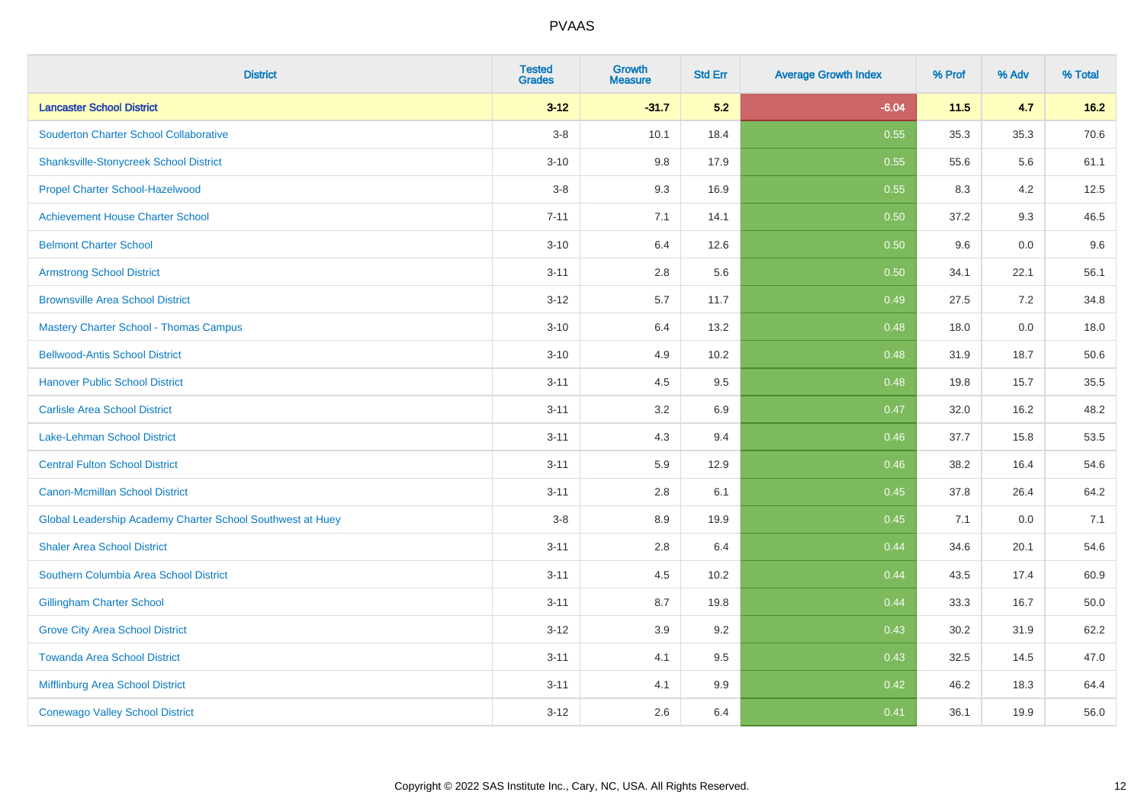| <b>District</b>                                            | <b>Tested</b><br><b>Grades</b> | <b>Growth</b><br><b>Measure</b> | <b>Std Err</b> | <b>Average Growth Index</b> | % Prof | % Adv | % Total |
|------------------------------------------------------------|--------------------------------|---------------------------------|----------------|-----------------------------|--------|-------|---------|
| <b>Lancaster School District</b>                           | $3 - 12$                       | $-31.7$                         | 5.2            | $-6.04$                     | $11.5$ | 4.7   | $16.2$  |
| <b>Souderton Charter School Collaborative</b>              | $3-8$                          | 10.1                            | 18.4           | 0.55                        | 35.3   | 35.3  | 70.6    |
| <b>Shanksville-Stonycreek School District</b>              | $3 - 10$                       | 9.8                             | 17.9           | 0.55                        | 55.6   | 5.6   | 61.1    |
| Propel Charter School-Hazelwood                            | $3-8$                          | 9.3                             | 16.9           | 0.55                        | 8.3    | 4.2   | 12.5    |
| <b>Achievement House Charter School</b>                    | $7 - 11$                       | 7.1                             | 14.1           | 0.50                        | 37.2   | 9.3   | 46.5    |
| <b>Belmont Charter School</b>                              | $3 - 10$                       | 6.4                             | 12.6           | 0.50                        | 9.6    | 0.0   | 9.6     |
| <b>Armstrong School District</b>                           | $3 - 11$                       | $2.8\,$                         | 5.6            | 0.50                        | 34.1   | 22.1  | 56.1    |
| <b>Brownsville Area School District</b>                    | $3 - 12$                       | 5.7                             | 11.7           | 0.49                        | 27.5   | 7.2   | 34.8    |
| <b>Mastery Charter School - Thomas Campus</b>              | $3 - 10$                       | 6.4                             | 13.2           | 0.48                        | 18.0   | 0.0   | 18.0    |
| <b>Bellwood-Antis School District</b>                      | $3 - 10$                       | $4.9\,$                         | 10.2           | 0.48                        | 31.9   | 18.7  | 50.6    |
| <b>Hanover Public School District</b>                      | $3 - 11$                       | 4.5                             | 9.5            | 0.48                        | 19.8   | 15.7  | 35.5    |
| <b>Carlisle Area School District</b>                       | $3 - 11$                       | 3.2                             | 6.9            | 0.47                        | 32.0   | 16.2  | 48.2    |
| Lake-Lehman School District                                | $3 - 11$                       | 4.3                             | 9.4            | 0.46                        | 37.7   | 15.8  | 53.5    |
| <b>Central Fulton School District</b>                      | $3 - 11$                       | 5.9                             | 12.9           | 0.46                        | 38.2   | 16.4  | 54.6    |
| <b>Canon-Mcmillan School District</b>                      | $3 - 11$                       | 2.8                             | 6.1            | 0.45                        | 37.8   | 26.4  | 64.2    |
| Global Leadership Academy Charter School Southwest at Huey | $3-8$                          | 8.9                             | 19.9           | 0.45                        | 7.1    | 0.0   | 7.1     |
| <b>Shaler Area School District</b>                         | $3 - 11$                       | 2.8                             | 6.4            | 0.44                        | 34.6   | 20.1  | 54.6    |
| Southern Columbia Area School District                     | $3 - 11$                       | 4.5                             | 10.2           | 0.44                        | 43.5   | 17.4  | 60.9    |
| <b>Gillingham Charter School</b>                           | $3 - 11$                       | 8.7                             | 19.8           | 0.44                        | 33.3   | 16.7  | 50.0    |
| <b>Grove City Area School District</b>                     | $3 - 12$                       | 3.9                             | 9.2            | 0.43                        | 30.2   | 31.9  | 62.2    |
| <b>Towanda Area School District</b>                        | $3 - 11$                       | 4.1                             | 9.5            | 0.43                        | 32.5   | 14.5  | 47.0    |
| <b>Mifflinburg Area School District</b>                    | $3 - 11$                       | 4.1                             | 9.9            | 0.42                        | 46.2   | 18.3  | 64.4    |
| <b>Conewago Valley School District</b>                     | $3 - 12$                       | 2.6                             | 6.4            | 0.41                        | 36.1   | 19.9  | 56.0    |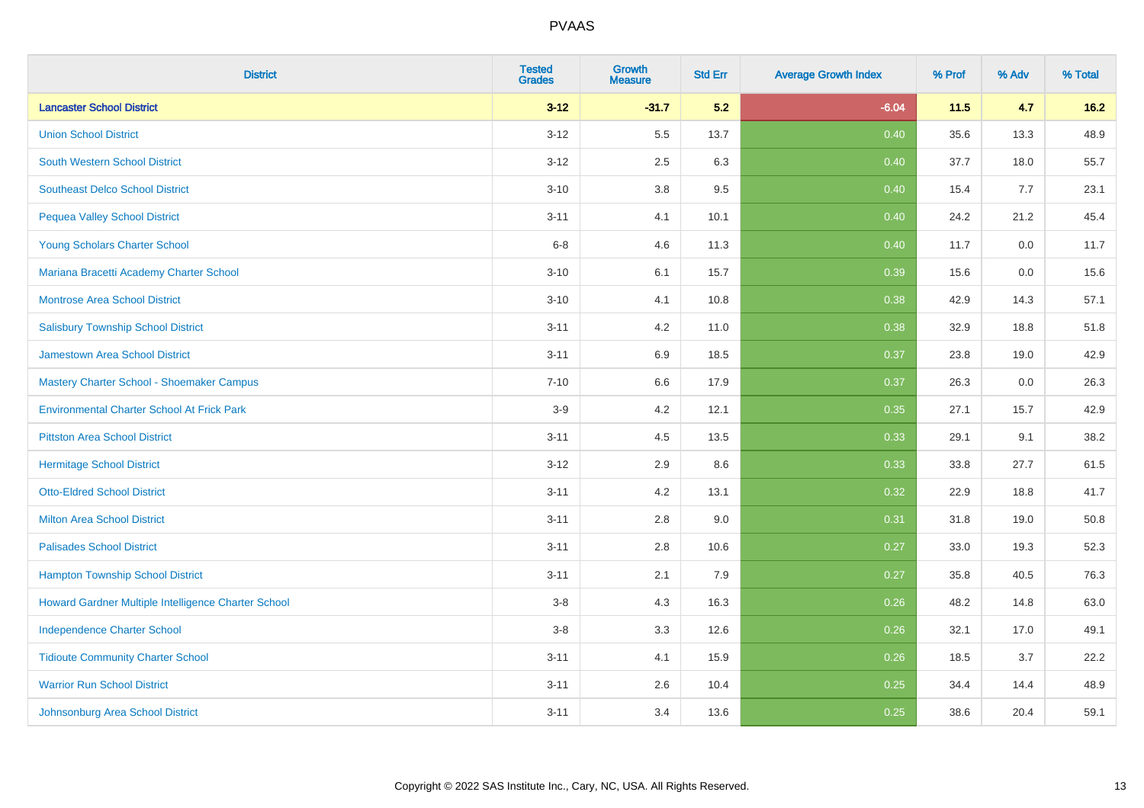| <b>District</b>                                     | <b>Tested</b><br><b>Grades</b> | Growth<br><b>Measure</b> | <b>Std Err</b> | <b>Average Growth Index</b> | % Prof | % Adv | % Total |
|-----------------------------------------------------|--------------------------------|--------------------------|----------------|-----------------------------|--------|-------|---------|
| <b>Lancaster School District</b>                    | $3 - 12$                       | $-31.7$                  | 5.2            | $-6.04$                     | 11.5   | 4.7   | $16.2$  |
| <b>Union School District</b>                        | $3 - 12$                       | 5.5                      | 13.7           | 0.40                        | 35.6   | 13.3  | 48.9    |
| South Western School District                       | $3 - 12$                       | 2.5                      | 6.3            | 0.40                        | 37.7   | 18.0  | 55.7    |
| <b>Southeast Delco School District</b>              | $3 - 10$                       | 3.8                      | 9.5            | 0.40                        | 15.4   | 7.7   | 23.1    |
| <b>Pequea Valley School District</b>                | $3 - 11$                       | 4.1                      | 10.1           | 0.40                        | 24.2   | 21.2  | 45.4    |
| Young Scholars Charter School                       | $6 - 8$                        | 4.6                      | 11.3           | 0.40                        | 11.7   | 0.0   | 11.7    |
| Mariana Bracetti Academy Charter School             | $3 - 10$                       | 6.1                      | 15.7           | 0.39                        | 15.6   | 0.0   | 15.6    |
| <b>Montrose Area School District</b>                | $3 - 10$                       | 4.1                      | 10.8           | 0.38                        | 42.9   | 14.3  | 57.1    |
| <b>Salisbury Township School District</b>           | $3 - 11$                       | 4.2                      | 11.0           | 0.38                        | 32.9   | 18.8  | 51.8    |
| <b>Jamestown Area School District</b>               | $3 - 11$                       | 6.9                      | 18.5           | 0.37                        | 23.8   | 19.0  | 42.9    |
| Mastery Charter School - Shoemaker Campus           | $7 - 10$                       | 6.6                      | 17.9           | 0.37                        | 26.3   | 0.0   | 26.3    |
| <b>Environmental Charter School At Frick Park</b>   | $3-9$                          | 4.2                      | 12.1           | 0.35                        | 27.1   | 15.7  | 42.9    |
| <b>Pittston Area School District</b>                | $3 - 11$                       | 4.5                      | 13.5           | 0.33                        | 29.1   | 9.1   | 38.2    |
| <b>Hermitage School District</b>                    | $3 - 12$                       | 2.9                      | 8.6            | 0.33                        | 33.8   | 27.7  | 61.5    |
| <b>Otto-Eldred School District</b>                  | $3 - 11$                       | 4.2                      | 13.1           | 0.32                        | 22.9   | 18.8  | 41.7    |
| <b>Milton Area School District</b>                  | $3 - 11$                       | 2.8                      | 9.0            | 0.31                        | 31.8   | 19.0  | 50.8    |
| <b>Palisades School District</b>                    | $3 - 11$                       | 2.8                      | 10.6           | 0.27                        | 33.0   | 19.3  | 52.3    |
| <b>Hampton Township School District</b>             | $3 - 11$                       | 2.1                      | 7.9            | 0.27                        | 35.8   | 40.5  | 76.3    |
| Howard Gardner Multiple Intelligence Charter School | $3-8$                          | 4.3                      | 16.3           | 0.26                        | 48.2   | 14.8  | 63.0    |
| <b>Independence Charter School</b>                  | $3 - 8$                        | 3.3                      | 12.6           | 0.26                        | 32.1   | 17.0  | 49.1    |
| <b>Tidioute Community Charter School</b>            | $3 - 11$                       | 4.1                      | 15.9           | 0.26                        | 18.5   | 3.7   | 22.2    |
| <b>Warrior Run School District</b>                  | $3 - 11$                       | 2.6                      | 10.4           | 0.25                        | 34.4   | 14.4  | 48.9    |
| Johnsonburg Area School District                    | $3 - 11$                       | 3.4                      | 13.6           | 0.25                        | 38.6   | 20.4  | 59.1    |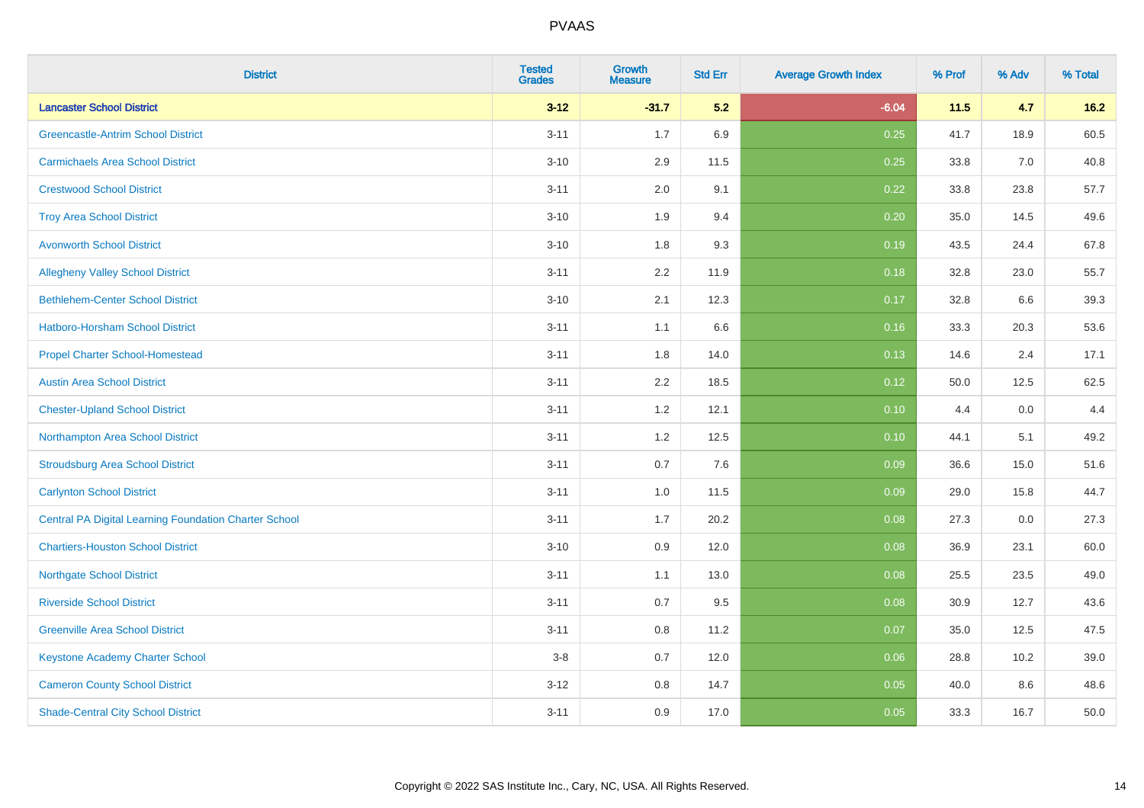| <b>District</b>                                              | <b>Tested</b><br><b>Grades</b> | Growth<br><b>Measure</b> | <b>Std Err</b> | <b>Average Growth Index</b> | % Prof | % Adv | % Total |
|--------------------------------------------------------------|--------------------------------|--------------------------|----------------|-----------------------------|--------|-------|---------|
| <b>Lancaster School District</b>                             | $3-12$                         | $-31.7$                  | 5.2            | $-6.04$                     | 11.5   | 4.7   | $16.2$  |
| <b>Greencastle-Antrim School District</b>                    | $3 - 11$                       | 1.7                      | 6.9            | 0.25                        | 41.7   | 18.9  | 60.5    |
| <b>Carmichaels Area School District</b>                      | $3 - 10$                       | 2.9                      | 11.5           | 0.25                        | 33.8   | 7.0   | 40.8    |
| <b>Crestwood School District</b>                             | $3 - 11$                       | 2.0                      | 9.1            | 0.22                        | 33.8   | 23.8  | 57.7    |
| <b>Troy Area School District</b>                             | $3 - 10$                       | 1.9                      | 9.4            | 0.20                        | 35.0   | 14.5  | 49.6    |
| <b>Avonworth School District</b>                             | $3 - 10$                       | 1.8                      | 9.3            | 0.19                        | 43.5   | 24.4  | 67.8    |
| <b>Allegheny Valley School District</b>                      | $3 - 11$                       | 2.2                      | 11.9           | 0.18                        | 32.8   | 23.0  | 55.7    |
| <b>Bethlehem-Center School District</b>                      | $3 - 10$                       | 2.1                      | 12.3           | 0.17                        | 32.8   | 6.6   | 39.3    |
| Hatboro-Horsham School District                              | $3 - 11$                       | 1.1                      | 6.6            | 0.16                        | 33.3   | 20.3  | 53.6    |
| <b>Propel Charter School-Homestead</b>                       | $3 - 11$                       | 1.8                      | 14.0           | 0.13                        | 14.6   | 2.4   | 17.1    |
| <b>Austin Area School District</b>                           | $3 - 11$                       | 2.2                      | 18.5           | 0.12                        | 50.0   | 12.5  | 62.5    |
| <b>Chester-Upland School District</b>                        | $3 - 11$                       | 1.2                      | 12.1           | 0.10                        | 4.4    | 0.0   | 4.4     |
| Northampton Area School District                             | $3 - 11$                       | $1.2$                    | 12.5           | 0.10                        | 44.1   | 5.1   | 49.2    |
| <b>Stroudsburg Area School District</b>                      | $3 - 11$                       | 0.7                      | 7.6            | 0.09                        | 36.6   | 15.0  | 51.6    |
| <b>Carlynton School District</b>                             | $3 - 11$                       | 1.0                      | 11.5           | 0.09                        | 29.0   | 15.8  | 44.7    |
| <b>Central PA Digital Learning Foundation Charter School</b> | $3 - 11$                       | 1.7                      | 20.2           | 0.08                        | 27.3   | 0.0   | 27.3    |
| <b>Chartiers-Houston School District</b>                     | $3 - 10$                       | 0.9                      | 12.0           | 0.08                        | 36.9   | 23.1  | 60.0    |
| <b>Northgate School District</b>                             | $3 - 11$                       | 1.1                      | 13.0           | 0.08                        | 25.5   | 23.5  | 49.0    |
| <b>Riverside School District</b>                             | $3 - 11$                       | 0.7                      | 9.5            | 0.08                        | 30.9   | 12.7  | 43.6    |
| <b>Greenville Area School District</b>                       | $3 - 11$                       | 0.8                      | 11.2           | 0.07                        | 35.0   | 12.5  | 47.5    |
| <b>Keystone Academy Charter School</b>                       | $3-8$                          | 0.7                      | 12.0           | 0.06                        | 28.8   | 10.2  | 39.0    |
| <b>Cameron County School District</b>                        | $3 - 12$                       | 0.8                      | 14.7           | 0.05                        | 40.0   | 8.6   | 48.6    |
| <b>Shade-Central City School District</b>                    | $3 - 11$                       | 0.9                      | 17.0           | 0.05                        | 33.3   | 16.7  | 50.0    |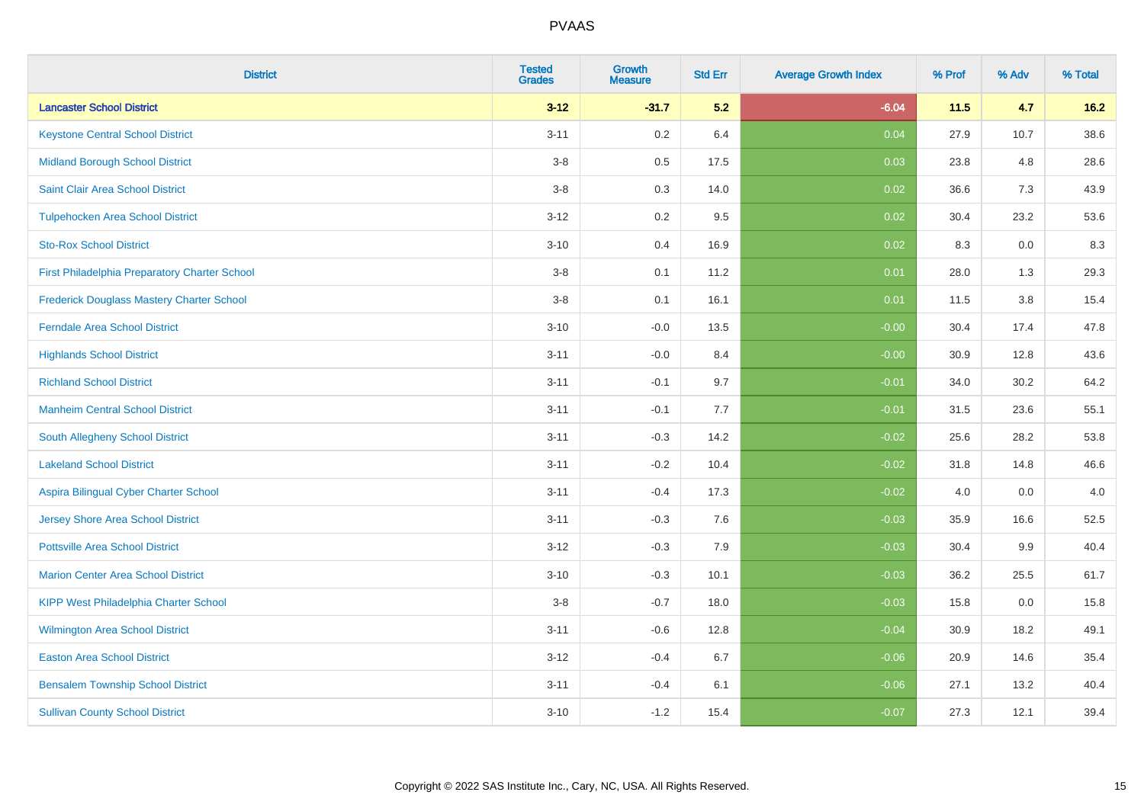| <b>District</b>                                  | <b>Tested</b><br><b>Grades</b> | Growth<br><b>Measure</b> | <b>Std Err</b> | <b>Average Growth Index</b> | % Prof | % Adv | % Total |
|--------------------------------------------------|--------------------------------|--------------------------|----------------|-----------------------------|--------|-------|---------|
| <b>Lancaster School District</b>                 | $3 - 12$                       | $-31.7$                  | 5.2            | $-6.04$                     | 11.5   | 4.7   | $16.2$  |
| <b>Keystone Central School District</b>          | $3 - 11$                       | $0.2\,$                  | 6.4            | 0.04                        | 27.9   | 10.7  | 38.6    |
| <b>Midland Borough School District</b>           | $3 - 8$                        | $0.5\,$                  | 17.5           | 0.03                        | 23.8   | 4.8   | 28.6    |
| Saint Clair Area School District                 | $3 - 8$                        | 0.3                      | 14.0           | 0.02                        | 36.6   | 7.3   | 43.9    |
| <b>Tulpehocken Area School District</b>          | $3 - 12$                       | 0.2                      | 9.5            | 0.02                        | 30.4   | 23.2  | 53.6    |
| <b>Sto-Rox School District</b>                   | $3 - 10$                       | 0.4                      | 16.9           | 0.02                        | 8.3    | 0.0   | 8.3     |
| First Philadelphia Preparatory Charter School    | $3-8$                          | 0.1                      | 11.2           | 0.01                        | 28.0   | 1.3   | 29.3    |
| <b>Frederick Douglass Mastery Charter School</b> | $3 - 8$                        | 0.1                      | 16.1           | 0.01                        | 11.5   | 3.8   | 15.4    |
| <b>Ferndale Area School District</b>             | $3 - 10$                       | $-0.0$                   | 13.5           | $-0.00$                     | 30.4   | 17.4  | 47.8    |
| <b>Highlands School District</b>                 | $3 - 11$                       | $-0.0$                   | 8.4            | $-0.00$                     | 30.9   | 12.8  | 43.6    |
| <b>Richland School District</b>                  | $3 - 11$                       | $-0.1$                   | 9.7            | $-0.01$                     | 34.0   | 30.2  | 64.2    |
| <b>Manheim Central School District</b>           | $3 - 11$                       | $-0.1$                   | 7.7            | $-0.01$                     | 31.5   | 23.6  | 55.1    |
| South Allegheny School District                  | $3 - 11$                       | $-0.3$                   | 14.2           | $-0.02$                     | 25.6   | 28.2  | 53.8    |
| <b>Lakeland School District</b>                  | $3 - 11$                       | $-0.2$                   | 10.4           | $-0.02$                     | 31.8   | 14.8  | 46.6    |
| Aspira Bilingual Cyber Charter School            | $3 - 11$                       | $-0.4$                   | 17.3           | $-0.02$                     | 4.0    | 0.0   | 4.0     |
| Jersey Shore Area School District                | $3 - 11$                       | $-0.3$                   | 7.6            | $-0.03$                     | 35.9   | 16.6  | 52.5    |
| <b>Pottsville Area School District</b>           | $3 - 12$                       | $-0.3$                   | 7.9            | $-0.03$                     | 30.4   | 9.9   | 40.4    |
| <b>Marion Center Area School District</b>        | $3 - 10$                       | $-0.3$                   | 10.1           | $-0.03$                     | 36.2   | 25.5  | 61.7    |
| <b>KIPP West Philadelphia Charter School</b>     | $3 - 8$                        | $-0.7$                   | 18.0           | $-0.03$                     | 15.8   | 0.0   | 15.8    |
| Wilmington Area School District                  | $3 - 11$                       | $-0.6$                   | 12.8           | $-0.04$                     | 30.9   | 18.2  | 49.1    |
| <b>Easton Area School District</b>               | $3 - 12$                       | $-0.4$                   | 6.7            | $-0.06$                     | 20.9   | 14.6  | 35.4    |
| <b>Bensalem Township School District</b>         | $3 - 11$                       | $-0.4$                   | 6.1            | $-0.06$                     | 27.1   | 13.2  | 40.4    |
| <b>Sullivan County School District</b>           | $3 - 10$                       | $-1.2$                   | 15.4           | $-0.07$                     | 27.3   | 12.1  | 39.4    |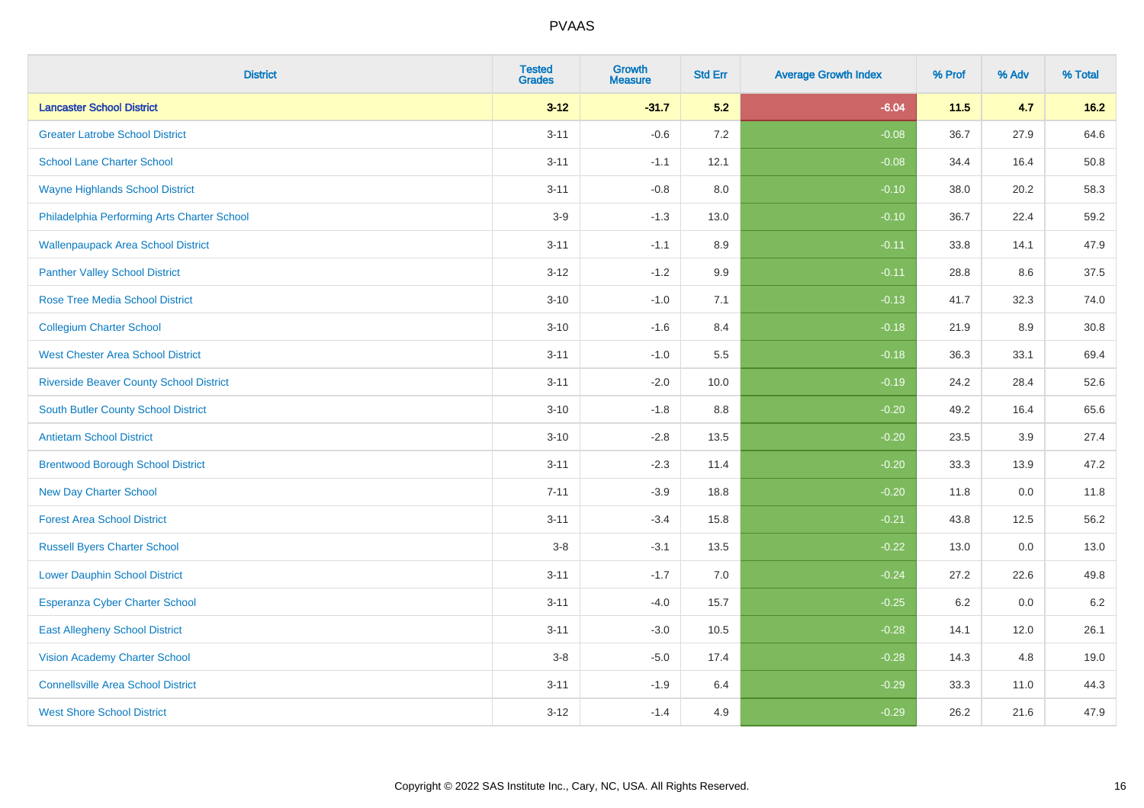| <b>District</b>                                | <b>Tested</b><br><b>Grades</b> | Growth<br><b>Measure</b> | <b>Std Err</b> | <b>Average Growth Index</b> | % Prof | % Adv | % Total |
|------------------------------------------------|--------------------------------|--------------------------|----------------|-----------------------------|--------|-------|---------|
| <b>Lancaster School District</b>               | $3-12$                         | $-31.7$                  | 5.2            | $-6.04$                     | 11.5   | 4.7   | 16.2    |
| <b>Greater Latrobe School District</b>         | $3 - 11$                       | $-0.6$                   | 7.2            | $-0.08$                     | 36.7   | 27.9  | 64.6    |
| <b>School Lane Charter School</b>              | $3 - 11$                       | $-1.1$                   | 12.1           | $-0.08$                     | 34.4   | 16.4  | 50.8    |
| <b>Wayne Highlands School District</b>         | $3 - 11$                       | $-0.8$                   | 8.0            | $-0.10$                     | 38.0   | 20.2  | 58.3    |
| Philadelphia Performing Arts Charter School    | $3-9$                          | $-1.3$                   | 13.0           | $-0.10$                     | 36.7   | 22.4  | 59.2    |
| <b>Wallenpaupack Area School District</b>      | $3 - 11$                       | $-1.1$                   | 8.9            | $-0.11$                     | 33.8   | 14.1  | 47.9    |
| <b>Panther Valley School District</b>          | $3 - 12$                       | $-1.2$                   | 9.9            | $-0.11$                     | 28.8   | 8.6   | 37.5    |
| <b>Rose Tree Media School District</b>         | $3 - 10$                       | $-1.0$                   | 7.1            | $-0.13$                     | 41.7   | 32.3  | 74.0    |
| <b>Collegium Charter School</b>                | $3 - 10$                       | $-1.6$                   | 8.4            | $-0.18$                     | 21.9   | 8.9   | 30.8    |
| <b>West Chester Area School District</b>       | $3 - 11$                       | $-1.0$                   | 5.5            | $-0.18$                     | 36.3   | 33.1  | 69.4    |
| <b>Riverside Beaver County School District</b> | $3 - 11$                       | $-2.0$                   | 10.0           | $-0.19$                     | 24.2   | 28.4  | 52.6    |
| <b>South Butler County School District</b>     | $3 - 10$                       | $-1.8$                   | 8.8            | $-0.20$                     | 49.2   | 16.4  | 65.6    |
| <b>Antietam School District</b>                | $3 - 10$                       | $-2.8$                   | 13.5           | $-0.20$                     | 23.5   | 3.9   | 27.4    |
| <b>Brentwood Borough School District</b>       | $3 - 11$                       | $-2.3$                   | 11.4           | $-0.20$                     | 33.3   | 13.9  | 47.2    |
| <b>New Day Charter School</b>                  | $7 - 11$                       | $-3.9$                   | 18.8           | $-0.20$                     | 11.8   | 0.0   | 11.8    |
| <b>Forest Area School District</b>             | $3 - 11$                       | $-3.4$                   | 15.8           | $-0.21$                     | 43.8   | 12.5  | 56.2    |
| <b>Russell Byers Charter School</b>            | $3-8$                          | $-3.1$                   | 13.5           | $-0.22$                     | 13.0   | 0.0   | 13.0    |
| <b>Lower Dauphin School District</b>           | $3 - 11$                       | $-1.7$                   | 7.0            | $-0.24$                     | 27.2   | 22.6  | 49.8    |
| Esperanza Cyber Charter School                 | $3 - 11$                       | $-4.0$                   | 15.7           | $-0.25$                     | 6.2    | 0.0   | $6.2\,$ |
| <b>East Allegheny School District</b>          | $3 - 11$                       | $-3.0$                   | 10.5           | $-0.28$                     | 14.1   | 12.0  | 26.1    |
| <b>Vision Academy Charter School</b>           | $3-8$                          | $-5.0$                   | 17.4           | $-0.28$                     | 14.3   | 4.8   | 19.0    |
| <b>Connellsville Area School District</b>      | $3 - 11$                       | $-1.9$                   | 6.4            | $-0.29$                     | 33.3   | 11.0  | 44.3    |
| <b>West Shore School District</b>              | $3 - 12$                       | $-1.4$                   | 4.9            | $-0.29$                     | 26.2   | 21.6  | 47.9    |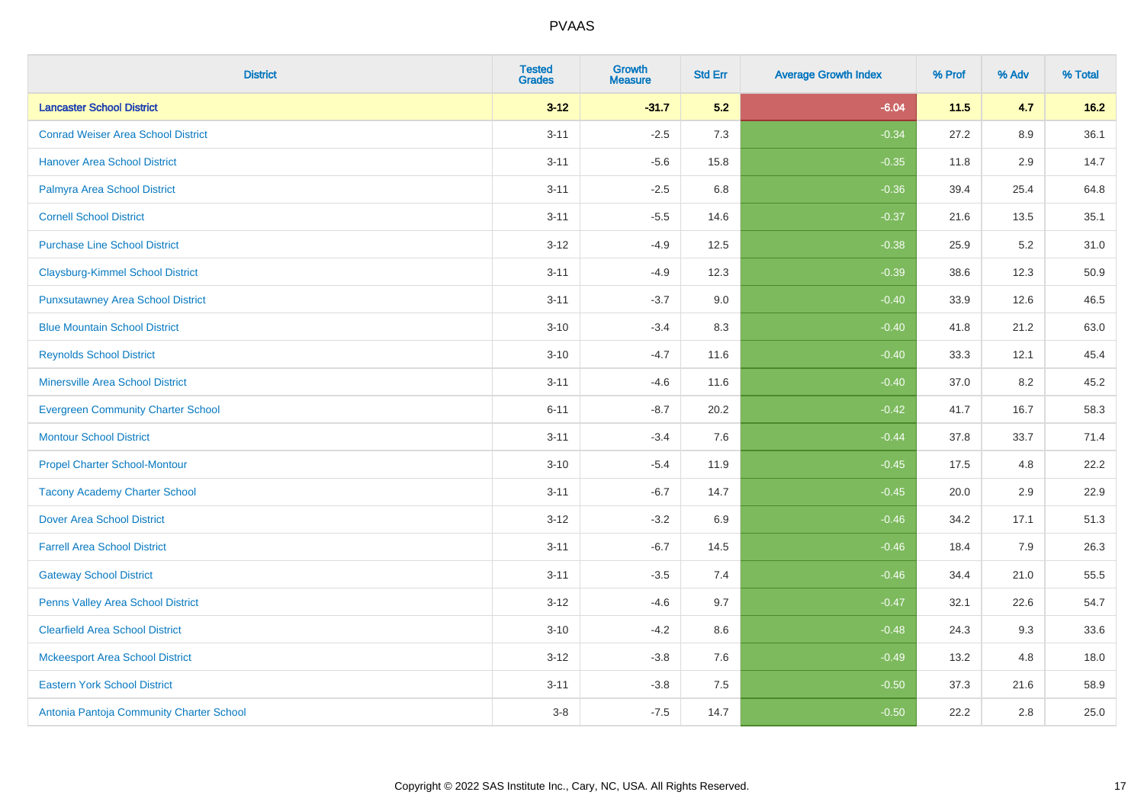| <b>District</b>                           | <b>Tested</b><br><b>Grades</b> | Growth<br><b>Measure</b> | <b>Std Err</b> | <b>Average Growth Index</b> | % Prof | % Adv   | % Total |
|-------------------------------------------|--------------------------------|--------------------------|----------------|-----------------------------|--------|---------|---------|
| <b>Lancaster School District</b>          | $3-12$                         | $-31.7$                  | 5.2            | $-6.04$                     | 11.5   | 4.7     | $16.2$  |
| <b>Conrad Weiser Area School District</b> | $3 - 11$                       | $-2.5$                   | 7.3            | $-0.34$                     | 27.2   | 8.9     | 36.1    |
| <b>Hanover Area School District</b>       | $3 - 11$                       | $-5.6$                   | 15.8           | $-0.35$                     | 11.8   | 2.9     | 14.7    |
| Palmyra Area School District              | $3 - 11$                       | $-2.5$                   | 6.8            | $-0.36$                     | 39.4   | 25.4    | 64.8    |
| <b>Cornell School District</b>            | $3 - 11$                       | $-5.5$                   | 14.6           | $-0.37$                     | 21.6   | 13.5    | 35.1    |
| <b>Purchase Line School District</b>      | $3 - 12$                       | $-4.9$                   | 12.5           | $-0.38$                     | 25.9   | 5.2     | 31.0    |
| <b>Claysburg-Kimmel School District</b>   | $3 - 11$                       | $-4.9$                   | 12.3           | $-0.39$                     | 38.6   | 12.3    | 50.9    |
| <b>Punxsutawney Area School District</b>  | $3 - 11$                       | $-3.7$                   | 9.0            | $-0.40$                     | 33.9   | 12.6    | 46.5    |
| <b>Blue Mountain School District</b>      | $3 - 10$                       | $-3.4$                   | 8.3            | $-0.40$                     | 41.8   | 21.2    | 63.0    |
| <b>Reynolds School District</b>           | $3 - 10$                       | $-4.7$                   | 11.6           | $-0.40$                     | 33.3   | 12.1    | 45.4    |
| <b>Minersville Area School District</b>   | $3 - 11$                       | $-4.6$                   | 11.6           | $-0.40$                     | 37.0   | 8.2     | 45.2    |
| <b>Evergreen Community Charter School</b> | $6 - 11$                       | $-8.7$                   | 20.2           | $-0.42$                     | 41.7   | 16.7    | 58.3    |
| <b>Montour School District</b>            | $3 - 11$                       | $-3.4$                   | 7.6            | $-0.44$                     | 37.8   | 33.7    | 71.4    |
| <b>Propel Charter School-Montour</b>      | $3 - 10$                       | $-5.4$                   | 11.9           | $-0.45$                     | 17.5   | 4.8     | 22.2    |
| <b>Tacony Academy Charter School</b>      | $3 - 11$                       | $-6.7$                   | 14.7           | $-0.45$                     | 20.0   | 2.9     | 22.9    |
| <b>Dover Area School District</b>         | $3 - 12$                       | $-3.2$                   | 6.9            | $-0.46$                     | 34.2   | 17.1    | 51.3    |
| <b>Farrell Area School District</b>       | $3 - 11$                       | $-6.7$                   | 14.5           | $-0.46$                     | 18.4   | 7.9     | 26.3    |
| <b>Gateway School District</b>            | $3 - 11$                       | $-3.5$                   | 7.4            | $-0.46$                     | 34.4   | 21.0    | 55.5    |
| Penns Valley Area School District         | $3 - 12$                       | $-4.6$                   | 9.7            | $-0.47$                     | 32.1   | 22.6    | 54.7    |
| <b>Clearfield Area School District</b>    | $3 - 10$                       | $-4.2$                   | 8.6            | $-0.48$                     | 24.3   | 9.3     | 33.6    |
| <b>Mckeesport Area School District</b>    | $3-12$                         | $-3.8$                   | 7.6            | $-0.49$                     | 13.2   | 4.8     | 18.0    |
| <b>Eastern York School District</b>       | $3 - 11$                       | $-3.8$                   | 7.5            | $-0.50$                     | 37.3   | 21.6    | 58.9    |
| Antonia Pantoja Community Charter School  | $3 - 8$                        | $-7.5$                   | 14.7           | $-0.50$                     | 22.2   | $2.8\,$ | 25.0    |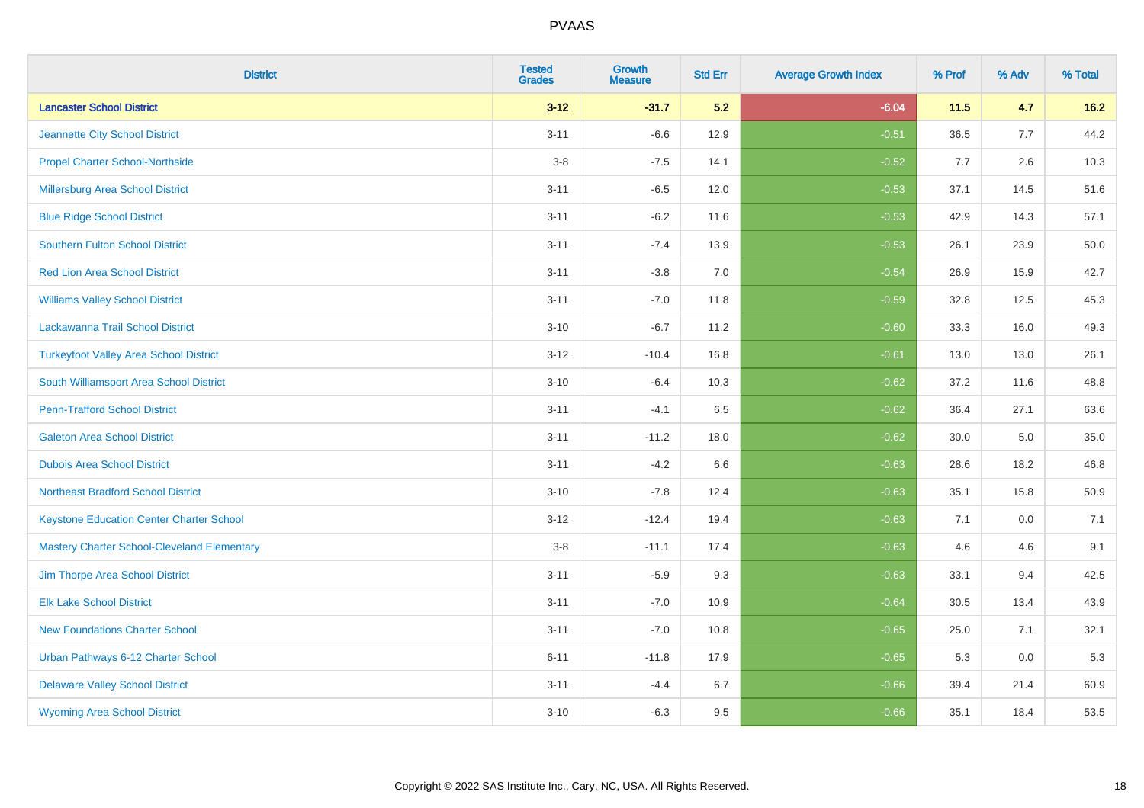| <b>District</b>                                    | <b>Tested</b><br><b>Grades</b> | <b>Growth</b><br><b>Measure</b> | <b>Std Err</b> | <b>Average Growth Index</b> | % Prof | % Adv | % Total |
|----------------------------------------------------|--------------------------------|---------------------------------|----------------|-----------------------------|--------|-------|---------|
| <b>Lancaster School District</b>                   | $3 - 12$                       | $-31.7$                         | 5.2            | $-6.04$                     | 11.5   | 4.7   | $16.2$  |
| Jeannette City School District                     | $3 - 11$                       | $-6.6$                          | 12.9           | $-0.51$                     | 36.5   | 7.7   | 44.2    |
| <b>Propel Charter School-Northside</b>             | $3-8$                          | $-7.5$                          | 14.1           | $-0.52$                     | 7.7    | 2.6   | 10.3    |
| Millersburg Area School District                   | $3 - 11$                       | $-6.5$                          | 12.0           | $-0.53$                     | 37.1   | 14.5  | 51.6    |
| <b>Blue Ridge School District</b>                  | $3 - 11$                       | $-6.2$                          | 11.6           | $-0.53$                     | 42.9   | 14.3  | 57.1    |
| <b>Southern Fulton School District</b>             | $3 - 11$                       | $-7.4$                          | 13.9           | $-0.53$                     | 26.1   | 23.9  | 50.0    |
| <b>Red Lion Area School District</b>               | $3 - 11$                       | $-3.8$                          | 7.0            | $-0.54$                     | 26.9   | 15.9  | 42.7    |
| <b>Williams Valley School District</b>             | $3 - 11$                       | $-7.0$                          | 11.8           | $-0.59$                     | 32.8   | 12.5  | 45.3    |
| Lackawanna Trail School District                   | $3 - 10$                       | $-6.7$                          | 11.2           | $-0.60$                     | 33.3   | 16.0  | 49.3    |
| <b>Turkeyfoot Valley Area School District</b>      | $3 - 12$                       | $-10.4$                         | 16.8           | $-0.61$                     | 13.0   | 13.0  | 26.1    |
| South Williamsport Area School District            | $3 - 10$                       | $-6.4$                          | 10.3           | $-0.62$                     | 37.2   | 11.6  | 48.8    |
| <b>Penn-Trafford School District</b>               | $3 - 11$                       | $-4.1$                          | 6.5            | $-0.62$                     | 36.4   | 27.1  | 63.6    |
| <b>Galeton Area School District</b>                | $3 - 11$                       | $-11.2$                         | 18.0           | $-0.62$                     | 30.0   | 5.0   | 35.0    |
| <b>Dubois Area School District</b>                 | $3 - 11$                       | $-4.2$                          | 6.6            | $-0.63$                     | 28.6   | 18.2  | 46.8    |
| <b>Northeast Bradford School District</b>          | $3 - 10$                       | $-7.8$                          | 12.4           | $-0.63$                     | 35.1   | 15.8  | 50.9    |
| <b>Keystone Education Center Charter School</b>    | $3 - 12$                       | $-12.4$                         | 19.4           | $-0.63$                     | 7.1    | 0.0   | 7.1     |
| <b>Mastery Charter School-Cleveland Elementary</b> | $3-8$                          | $-11.1$                         | 17.4           | $-0.63$                     | 4.6    | 4.6   | 9.1     |
| Jim Thorpe Area School District                    | $3 - 11$                       | $-5.9$                          | 9.3            | $-0.63$                     | 33.1   | 9.4   | 42.5    |
| <b>Elk Lake School District</b>                    | $3 - 11$                       | $-7.0$                          | 10.9           | $-0.64$                     | 30.5   | 13.4  | 43.9    |
| <b>New Foundations Charter School</b>              | $3 - 11$                       | $-7.0$                          | 10.8           | $-0.65$                     | 25.0   | 7.1   | 32.1    |
| Urban Pathways 6-12 Charter School                 | $6 - 11$                       | $-11.8$                         | 17.9           | $-0.65$                     | 5.3    | 0.0   | 5.3     |
| <b>Delaware Valley School District</b>             | $3 - 11$                       | $-4.4$                          | 6.7            | $-0.66$                     | 39.4   | 21.4  | 60.9    |
| <b>Wyoming Area School District</b>                | $3 - 10$                       | $-6.3$                          | 9.5            | $-0.66$                     | 35.1   | 18.4  | 53.5    |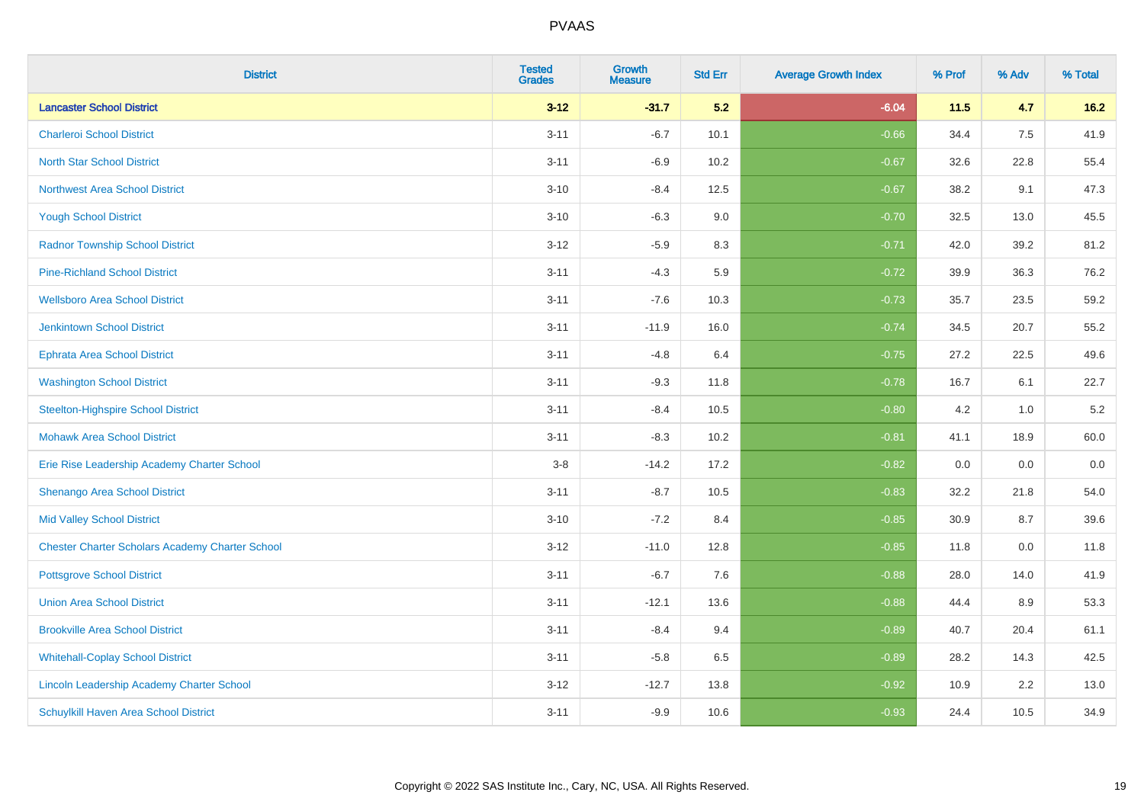| <b>District</b>                                        | <b>Tested</b><br><b>Grades</b> | <b>Growth</b><br><b>Measure</b> | <b>Std Err</b> | <b>Average Growth Index</b> | % Prof | % Adv | % Total |
|--------------------------------------------------------|--------------------------------|---------------------------------|----------------|-----------------------------|--------|-------|---------|
| <b>Lancaster School District</b>                       | $3 - 12$                       | $-31.7$                         | 5.2            | $-6.04$                     | 11.5   | 4.7   | $16.2$  |
| <b>Charleroi School District</b>                       | $3 - 11$                       | $-6.7$                          | 10.1           | $-0.66$                     | 34.4   | 7.5   | 41.9    |
| <b>North Star School District</b>                      | $3 - 11$                       | $-6.9$                          | 10.2           | $-0.67$                     | 32.6   | 22.8  | 55.4    |
| <b>Northwest Area School District</b>                  | $3 - 10$                       | $-8.4$                          | 12.5           | $-0.67$                     | 38.2   | 9.1   | 47.3    |
| <b>Yough School District</b>                           | $3 - 10$                       | $-6.3$                          | 9.0            | $-0.70$                     | 32.5   | 13.0  | 45.5    |
| <b>Radnor Township School District</b>                 | $3 - 12$                       | $-5.9$                          | 8.3            | $-0.71$                     | 42.0   | 39.2  | 81.2    |
| <b>Pine-Richland School District</b>                   | $3 - 11$                       | $-4.3$                          | 5.9            | $-0.72$                     | 39.9   | 36.3  | 76.2    |
| <b>Wellsboro Area School District</b>                  | $3 - 11$                       | $-7.6$                          | 10.3           | $-0.73$                     | 35.7   | 23.5  | 59.2    |
| <b>Jenkintown School District</b>                      | $3 - 11$                       | $-11.9$                         | 16.0           | $-0.74$                     | 34.5   | 20.7  | 55.2    |
| <b>Ephrata Area School District</b>                    | $3 - 11$                       | $-4.8$                          | 6.4            | $-0.75$                     | 27.2   | 22.5  | 49.6    |
| <b>Washington School District</b>                      | $3 - 11$                       | $-9.3$                          | 11.8           | $-0.78$                     | 16.7   | 6.1   | 22.7    |
| <b>Steelton-Highspire School District</b>              | $3 - 11$                       | $-8.4$                          | 10.5           | $-0.80$                     | 4.2    | 1.0   | 5.2     |
| <b>Mohawk Area School District</b>                     | $3 - 11$                       | $-8.3$                          | 10.2           | $-0.81$                     | 41.1   | 18.9  | 60.0    |
| Erie Rise Leadership Academy Charter School            | $3-8$                          | $-14.2$                         | 17.2           | $-0.82$                     | 0.0    | 0.0   | $0.0\,$ |
| Shenango Area School District                          | $3 - 11$                       | $-8.7$                          | 10.5           | $-0.83$                     | 32.2   | 21.8  | 54.0    |
| <b>Mid Valley School District</b>                      | $3 - 10$                       | $-7.2$                          | 8.4            | $-0.85$                     | 30.9   | 8.7   | 39.6    |
| <b>Chester Charter Scholars Academy Charter School</b> | $3 - 12$                       | $-11.0$                         | 12.8           | $-0.85$                     | 11.8   | 0.0   | 11.8    |
| <b>Pottsgrove School District</b>                      | $3 - 11$                       | $-6.7$                          | 7.6            | $-0.88$                     | 28.0   | 14.0  | 41.9    |
| <b>Union Area School District</b>                      | $3 - 11$                       | $-12.1$                         | 13.6           | $-0.88$                     | 44.4   | 8.9   | 53.3    |
| <b>Brookville Area School District</b>                 | $3 - 11$                       | $-8.4$                          | 9.4            | $-0.89$                     | 40.7   | 20.4  | 61.1    |
| <b>Whitehall-Coplay School District</b>                | $3 - 11$                       | $-5.8$                          | 6.5            | $-0.89$                     | 28.2   | 14.3  | 42.5    |
| Lincoln Leadership Academy Charter School              | $3 - 12$                       | $-12.7$                         | 13.8           | $-0.92$                     | 10.9   | 2.2   | 13.0    |
| <b>Schuylkill Haven Area School District</b>           | $3 - 11$                       | $-9.9$                          | 10.6           | $-0.93$                     | 24.4   | 10.5  | 34.9    |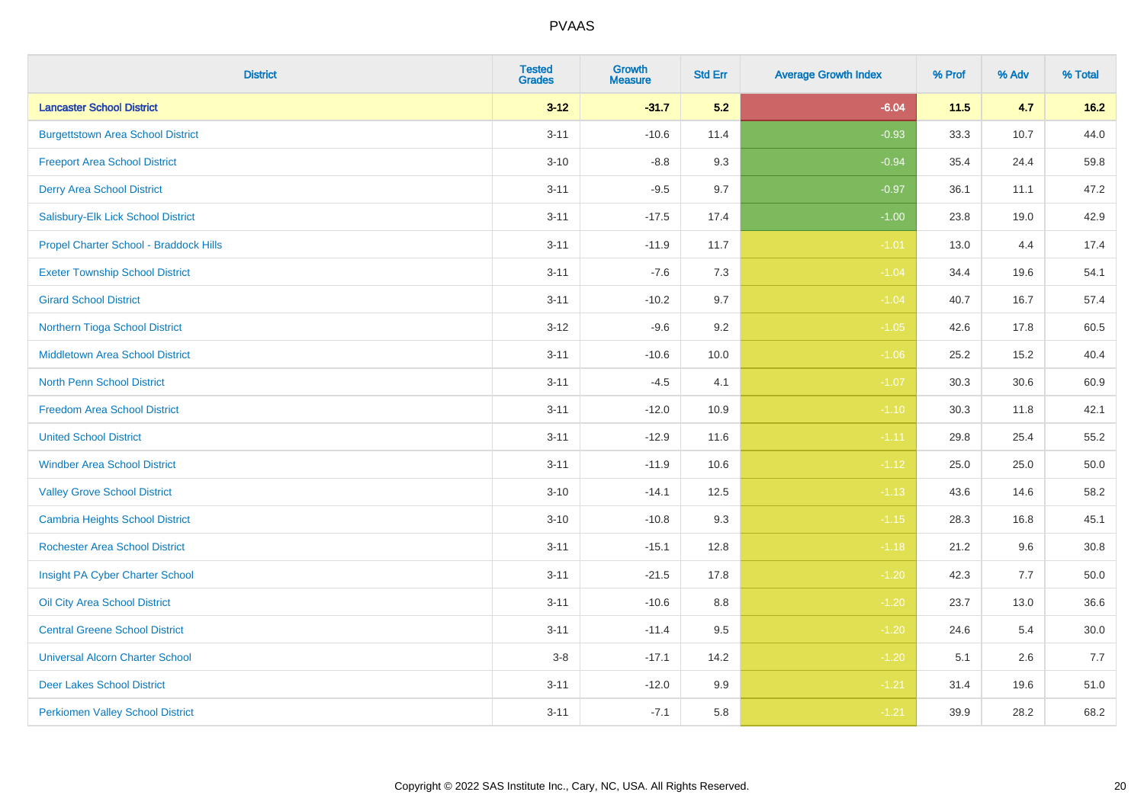| <b>District</b>                          | <b>Tested</b><br><b>Grades</b> | Growth<br><b>Measure</b> | <b>Std Err</b> | <b>Average Growth Index</b> | % Prof | % Adv | % Total  |
|------------------------------------------|--------------------------------|--------------------------|----------------|-----------------------------|--------|-------|----------|
| <b>Lancaster School District</b>         | $3-12$                         | $-31.7$                  | 5.2            | $-6.04$                     | $11.5$ | 4.7   | $16.2$   |
| <b>Burgettstown Area School District</b> | $3 - 11$                       | $-10.6$                  | 11.4           | $-0.93$                     | 33.3   | 10.7  | 44.0     |
| <b>Freeport Area School District</b>     | $3 - 10$                       | $-8.8$                   | 9.3            | $-0.94$                     | 35.4   | 24.4  | 59.8     |
| <b>Derry Area School District</b>        | $3 - 11$                       | $-9.5$                   | 9.7            | $-0.97$                     | 36.1   | 11.1  | 47.2     |
| Salisbury-Elk Lick School District       | $3 - 11$                       | $-17.5$                  | 17.4           | $-1.00$                     | 23.8   | 19.0  | 42.9     |
| Propel Charter School - Braddock Hills   | $3 - 11$                       | $-11.9$                  | 11.7           | $-1.01$                     | 13.0   | 4.4   | 17.4     |
| <b>Exeter Township School District</b>   | $3 - 11$                       | $-7.6$                   | 7.3            | $-1.04$                     | 34.4   | 19.6  | 54.1     |
| <b>Girard School District</b>            | $3 - 11$                       | $-10.2$                  | 9.7            | $-1.04$                     | 40.7   | 16.7  | 57.4     |
| Northern Tioga School District           | $3 - 12$                       | $-9.6$                   | 9.2            | $-1.05$                     | 42.6   | 17.8  | 60.5     |
| Middletown Area School District          | $3 - 11$                       | $-10.6$                  | 10.0           | $-1.06$                     | 25.2   | 15.2  | 40.4     |
| <b>North Penn School District</b>        | $3 - 11$                       | $-4.5$                   | 4.1            | $-1.07$                     | 30.3   | 30.6  | 60.9     |
| <b>Freedom Area School District</b>      | $3 - 11$                       | $-12.0$                  | 10.9           | $-1.10$                     | 30.3   | 11.8  | 42.1     |
| <b>United School District</b>            | $3 - 11$                       | $-12.9$                  | 11.6           | $-1.11$                     | 29.8   | 25.4  | 55.2     |
| <b>Windber Area School District</b>      | $3 - 11$                       | $-11.9$                  | 10.6           | $-1.12$                     | 25.0   | 25.0  | 50.0     |
| <b>Valley Grove School District</b>      | $3 - 10$                       | $-14.1$                  | 12.5           | $-1.13$                     | 43.6   | 14.6  | 58.2     |
| <b>Cambria Heights School District</b>   | $3 - 10$                       | $-10.8$                  | 9.3            | $-1.15$                     | 28.3   | 16.8  | 45.1     |
| <b>Rochester Area School District</b>    | $3 - 11$                       | $-15.1$                  | 12.8           | $-1.18$                     | 21.2   | 9.6   | 30.8     |
| Insight PA Cyber Charter School          | $3 - 11$                       | $-21.5$                  | 17.8           | $-1.20$                     | 42.3   | 7.7   | 50.0     |
| Oil City Area School District            | $3 - 11$                       | $-10.6$                  | 8.8            | $-1.20$                     | 23.7   | 13.0  | 36.6     |
| <b>Central Greene School District</b>    | $3 - 11$                       | $-11.4$                  | 9.5            | $-1.20$                     | 24.6   | 5.4   | $30.0\,$ |
| <b>Universal Alcorn Charter School</b>   | $3 - 8$                        | $-17.1$                  | 14.2           | $-1.20$                     | 5.1    | 2.6   | 7.7      |
| <b>Deer Lakes School District</b>        | $3 - 11$                       | $-12.0$                  | 9.9            | $-1.21$                     | 31.4   | 19.6  | 51.0     |
| <b>Perkiomen Valley School District</b>  | $3 - 11$                       | $-7.1$                   | 5.8            | $-1.21$                     | 39.9   | 28.2  | 68.2     |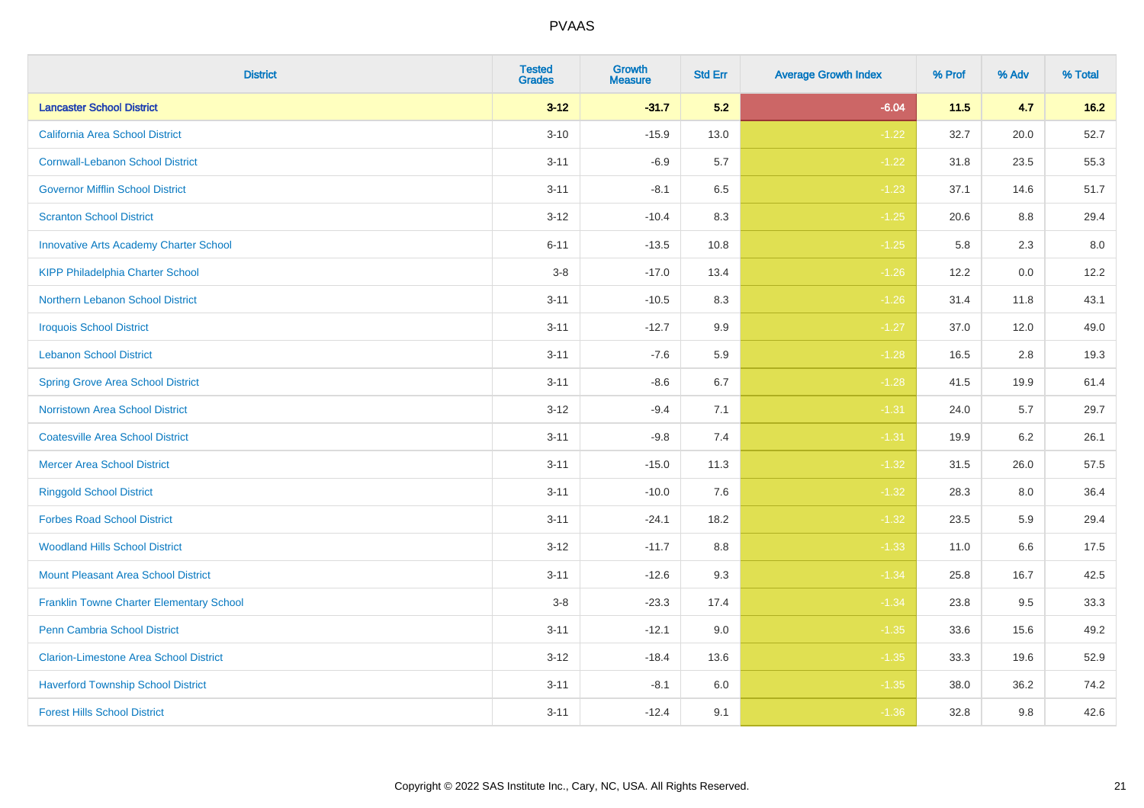| <b>District</b>                                 | <b>Tested</b><br><b>Grades</b> | Growth<br><b>Measure</b> | <b>Std Err</b> | <b>Average Growth Index</b> | % Prof | % Adv | % Total |
|-------------------------------------------------|--------------------------------|--------------------------|----------------|-----------------------------|--------|-------|---------|
| <b>Lancaster School District</b>                | $3-12$                         | $-31.7$                  | 5.2            | $-6.04$                     | 11.5   | 4.7   | $16.2$  |
| California Area School District                 | $3 - 10$                       | $-15.9$                  | 13.0           | $-1.22$                     | 32.7   | 20.0  | 52.7    |
| <b>Cornwall-Lebanon School District</b>         | $3 - 11$                       | $-6.9$                   | 5.7            | $-1.22$                     | 31.8   | 23.5  | 55.3    |
| <b>Governor Mifflin School District</b>         | $3 - 11$                       | $-8.1$                   | 6.5            | $-1.23$                     | 37.1   | 14.6  | 51.7    |
| <b>Scranton School District</b>                 | $3 - 12$                       | $-10.4$                  | 8.3            | $-1.25$                     | 20.6   | 8.8   | 29.4    |
| <b>Innovative Arts Academy Charter School</b>   | $6 - 11$                       | $-13.5$                  | 10.8           | $-1.25$                     | 5.8    | 2.3   | 8.0     |
| <b>KIPP Philadelphia Charter School</b>         | $3 - 8$                        | $-17.0$                  | 13.4           | $-1.26$                     | 12.2   | 0.0   | 12.2    |
| Northern Lebanon School District                | $3 - 11$                       | $-10.5$                  | 8.3            | $-1.26$                     | 31.4   | 11.8  | 43.1    |
| <b>Iroquois School District</b>                 | $3 - 11$                       | $-12.7$                  | 9.9            | $-1.27$                     | 37.0   | 12.0  | 49.0    |
| <b>Lebanon School District</b>                  | $3 - 11$                       | $-7.6$                   | 5.9            | $-1.28$                     | 16.5   | 2.8   | 19.3    |
| <b>Spring Grove Area School District</b>        | $3 - 11$                       | $-8.6$                   | 6.7            | $-1.28$                     | 41.5   | 19.9  | 61.4    |
| <b>Norristown Area School District</b>          | $3 - 12$                       | $-9.4$                   | 7.1            | $-1.31$                     | 24.0   | 5.7   | 29.7    |
| <b>Coatesville Area School District</b>         | $3 - 11$                       | $-9.8$                   | 7.4            | $-1.31$                     | 19.9   | 6.2   | 26.1    |
| <b>Mercer Area School District</b>              | $3 - 11$                       | $-15.0$                  | 11.3           | $-1.32$                     | 31.5   | 26.0  | 57.5    |
| <b>Ringgold School District</b>                 | $3 - 11$                       | $-10.0$                  | 7.6            | $-1.32$                     | 28.3   | 8.0   | 36.4    |
| <b>Forbes Road School District</b>              | $3 - 11$                       | $-24.1$                  | 18.2           | $-1.32$                     | 23.5   | 5.9   | 29.4    |
| <b>Woodland Hills School District</b>           | $3 - 12$                       | $-11.7$                  | 8.8            | $-1.33$                     | 11.0   | 6.6   | 17.5    |
| <b>Mount Pleasant Area School District</b>      | $3 - 11$                       | $-12.6$                  | 9.3            | $-1.34$                     | 25.8   | 16.7  | 42.5    |
| <b>Franklin Towne Charter Elementary School</b> | $3-8$                          | $-23.3$                  | 17.4           | $-1.34$                     | 23.8   | 9.5   | 33.3    |
| Penn Cambria School District                    | $3 - 11$                       | $-12.1$                  | 9.0            | $-1.35$                     | 33.6   | 15.6  | 49.2    |
| <b>Clarion-Limestone Area School District</b>   | $3 - 12$                       | $-18.4$                  | 13.6           | $-1.35$                     | 33.3   | 19.6  | 52.9    |
| <b>Haverford Township School District</b>       | $3 - 11$                       | $-8.1$                   | 6.0            | $-1.35$                     | 38.0   | 36.2  | 74.2    |
| <b>Forest Hills School District</b>             | $3 - 11$                       | $-12.4$                  | 9.1            | $-1.36$                     | 32.8   | 9.8   | 42.6    |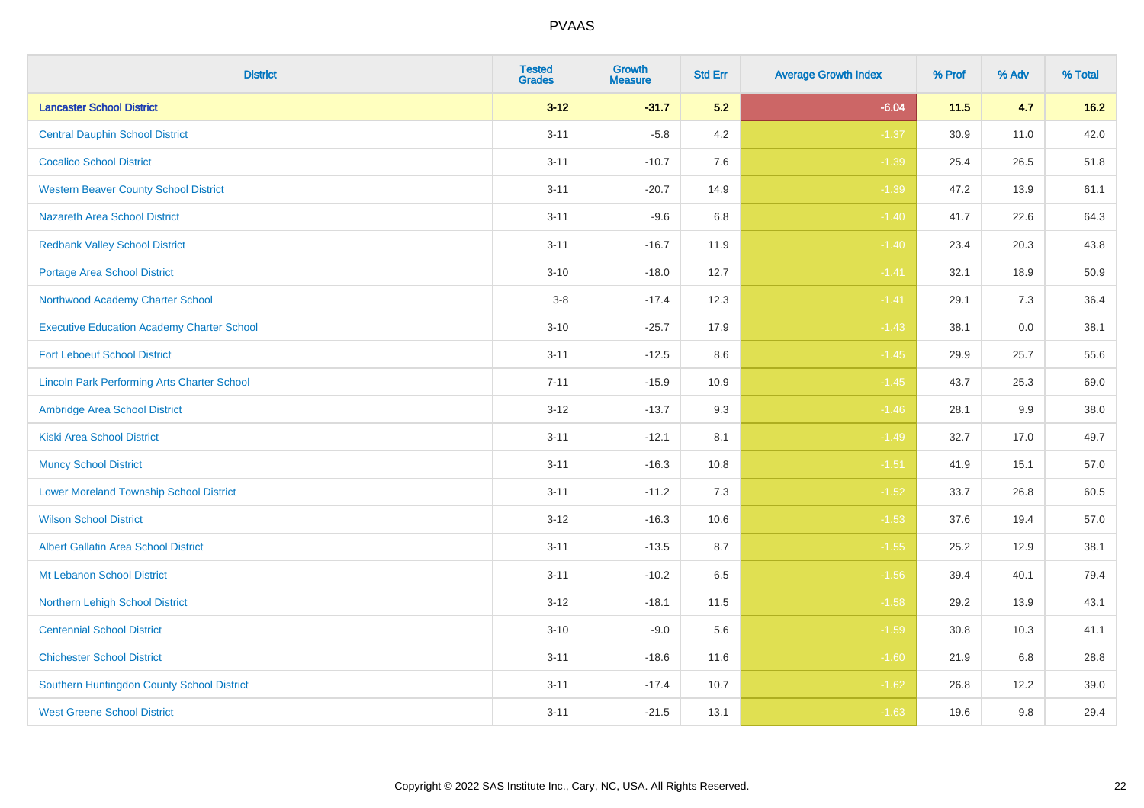| <b>District</b>                                    | <b>Tested</b><br><b>Grades</b> | Growth<br><b>Measure</b> | <b>Std Err</b> | <b>Average Growth Index</b> | % Prof | % Adv | % Total |
|----------------------------------------------------|--------------------------------|--------------------------|----------------|-----------------------------|--------|-------|---------|
| <b>Lancaster School District</b>                   | $3-12$                         | $-31.7$                  | 5.2            | $-6.04$                     | 11.5   | 4.7   | $16.2$  |
| <b>Central Dauphin School District</b>             | $3 - 11$                       | $-5.8$                   | 4.2            | $-1.37$                     | 30.9   | 11.0  | 42.0    |
| <b>Cocalico School District</b>                    | $3 - 11$                       | $-10.7$                  | 7.6            | $-1.39$                     | 25.4   | 26.5  | 51.8    |
| <b>Western Beaver County School District</b>       | $3 - 11$                       | $-20.7$                  | 14.9           | $-1.39$                     | 47.2   | 13.9  | 61.1    |
| <b>Nazareth Area School District</b>               | $3 - 11$                       | $-9.6$                   | 6.8            | $-1.40$                     | 41.7   | 22.6  | 64.3    |
| <b>Redbank Valley School District</b>              | $3 - 11$                       | $-16.7$                  | 11.9           | $-1.40$                     | 23.4   | 20.3  | 43.8    |
| <b>Portage Area School District</b>                | $3 - 10$                       | $-18.0$                  | 12.7           | $-1.41$                     | 32.1   | 18.9  | 50.9    |
| Northwood Academy Charter School                   | $3 - 8$                        | $-17.4$                  | 12.3           | $-1.41$                     | 29.1   | 7.3   | 36.4    |
| <b>Executive Education Academy Charter School</b>  | $3 - 10$                       | $-25.7$                  | 17.9           | $-1.43$                     | 38.1   | 0.0   | 38.1    |
| <b>Fort Leboeuf School District</b>                | $3 - 11$                       | $-12.5$                  | 8.6            | $-1.45$                     | 29.9   | 25.7  | 55.6    |
| <b>Lincoln Park Performing Arts Charter School</b> | $7 - 11$                       | $-15.9$                  | 10.9           | $-1.45$                     | 43.7   | 25.3  | 69.0    |
| Ambridge Area School District                      | $3 - 12$                       | $-13.7$                  | 9.3            | $-1.46$                     | 28.1   | 9.9   | 38.0    |
| <b>Kiski Area School District</b>                  | $3 - 11$                       | $-12.1$                  | 8.1            | $-1.49$                     | 32.7   | 17.0  | 49.7    |
| <b>Muncy School District</b>                       | $3 - 11$                       | $-16.3$                  | 10.8           | $-1.51$                     | 41.9   | 15.1  | 57.0    |
| <b>Lower Moreland Township School District</b>     | $3 - 11$                       | $-11.2$                  | 7.3            | $-1.52$                     | 33.7   | 26.8  | 60.5    |
| <b>Wilson School District</b>                      | $3 - 12$                       | $-16.3$                  | 10.6           | $-1.53$                     | 37.6   | 19.4  | 57.0    |
| <b>Albert Gallatin Area School District</b>        | $3 - 11$                       | $-13.5$                  | 8.7            | $-1.55$                     | 25.2   | 12.9  | 38.1    |
| Mt Lebanon School District                         | $3 - 11$                       | $-10.2$                  | 6.5            | $-1.56$                     | 39.4   | 40.1  | 79.4    |
| Northern Lehigh School District                    | $3 - 12$                       | $-18.1$                  | 11.5           | $-1.58$                     | 29.2   | 13.9  | 43.1    |
| <b>Centennial School District</b>                  | $3 - 10$                       | $-9.0$                   | 5.6            | $-1.59$                     | 30.8   | 10.3  | 41.1    |
| <b>Chichester School District</b>                  | $3 - 11$                       | $-18.6$                  | 11.6           | $-1.60$                     | 21.9   | 6.8   | 28.8    |
| Southern Huntingdon County School District         | $3 - 11$                       | $-17.4$                  | 10.7           | $-1.62$                     | 26.8   | 12.2  | 39.0    |
| <b>West Greene School District</b>                 | $3 - 11$                       | $-21.5$                  | 13.1           | $-1.63$                     | 19.6   | 9.8   | 29.4    |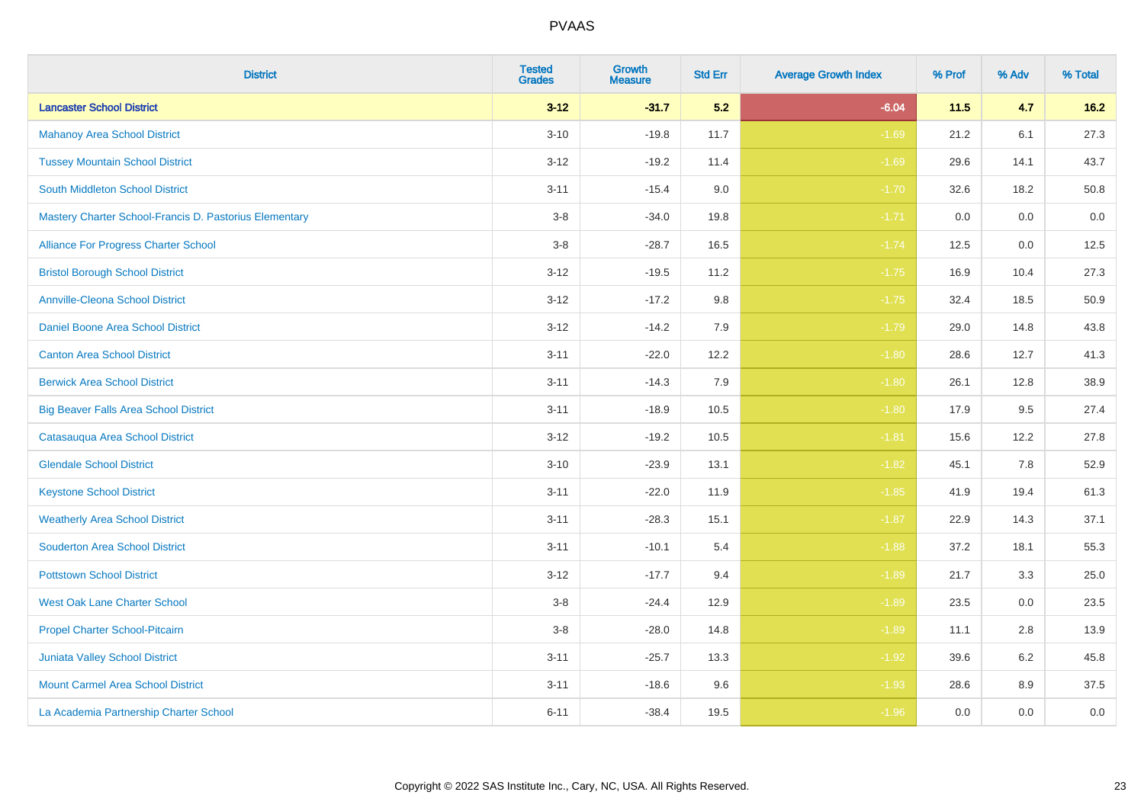| <b>District</b>                                        | <b>Tested</b><br><b>Grades</b> | <b>Growth</b><br><b>Measure</b> | <b>Std Err</b> | <b>Average Growth Index</b> | % Prof | % Adv | % Total |
|--------------------------------------------------------|--------------------------------|---------------------------------|----------------|-----------------------------|--------|-------|---------|
| <b>Lancaster School District</b>                       | $3 - 12$                       | $-31.7$                         | 5.2            | $-6.04$                     | 11.5   | 4.7   | $16.2$  |
| <b>Mahanoy Area School District</b>                    | $3 - 10$                       | $-19.8$                         | 11.7           | $-1.69$                     | 21.2   | 6.1   | 27.3    |
| <b>Tussey Mountain School District</b>                 | $3 - 12$                       | $-19.2$                         | 11.4           | $-1.69$                     | 29.6   | 14.1  | 43.7    |
| <b>South Middleton School District</b>                 | $3 - 11$                       | $-15.4$                         | 9.0            | $-1.70$                     | 32.6   | 18.2  | 50.8    |
| Mastery Charter School-Francis D. Pastorius Elementary | $3-8$                          | $-34.0$                         | 19.8           | $-1.71$                     | 0.0    | 0.0   | 0.0     |
| Alliance For Progress Charter School                   | $3-8$                          | $-28.7$                         | 16.5           | $-1.74$                     | 12.5   | 0.0   | 12.5    |
| <b>Bristol Borough School District</b>                 | $3 - 12$                       | $-19.5$                         | 11.2           | $-1.75$                     | 16.9   | 10.4  | 27.3    |
| <b>Annville-Cleona School District</b>                 | $3 - 12$                       | $-17.2$                         | 9.8            | $-1.75$                     | 32.4   | 18.5  | 50.9    |
| Daniel Boone Area School District                      | $3 - 12$                       | $-14.2$                         | 7.9            | $-1.79$                     | 29.0   | 14.8  | 43.8    |
| <b>Canton Area School District</b>                     | $3 - 11$                       | $-22.0$                         | 12.2           | $-1.80$                     | 28.6   | 12.7  | 41.3    |
| <b>Berwick Area School District</b>                    | $3 - 11$                       | $-14.3$                         | 7.9            | $-1.80$                     | 26.1   | 12.8  | 38.9    |
| <b>Big Beaver Falls Area School District</b>           | $3 - 11$                       | $-18.9$                         | 10.5           | $-1.80$                     | 17.9   | 9.5   | 27.4    |
| Catasauqua Area School District                        | $3 - 12$                       | $-19.2$                         | 10.5           | $-1.81$                     | 15.6   | 12.2  | 27.8    |
| <b>Glendale School District</b>                        | $3 - 10$                       | $-23.9$                         | 13.1           | $-1.82$                     | 45.1   | 7.8   | 52.9    |
| <b>Keystone School District</b>                        | $3 - 11$                       | $-22.0$                         | 11.9           | $-1.85$                     | 41.9   | 19.4  | 61.3    |
| <b>Weatherly Area School District</b>                  | $3 - 11$                       | $-28.3$                         | 15.1           | $-1.87$                     | 22.9   | 14.3  | 37.1    |
| <b>Souderton Area School District</b>                  | $3 - 11$                       | $-10.1$                         | 5.4            | $-1.88$                     | 37.2   | 18.1  | 55.3    |
| <b>Pottstown School District</b>                       | $3 - 12$                       | $-17.7$                         | 9.4            | $-1.89$                     | 21.7   | 3.3   | 25.0    |
| <b>West Oak Lane Charter School</b>                    | $3-8$                          | $-24.4$                         | 12.9           | $-1.89$                     | 23.5   | 0.0   | 23.5    |
| Propel Charter School-Pitcairn                         | $3-8$                          | $-28.0$                         | 14.8           | $-1.89$                     | 11.1   | 2.8   | 13.9    |
| Juniata Valley School District                         | $3 - 11$                       | $-25.7$                         | 13.3           | $-1.92$                     | 39.6   | 6.2   | 45.8    |
| <b>Mount Carmel Area School District</b>               | $3 - 11$                       | $-18.6$                         | 9.6            | $-1.93$                     | 28.6   | 8.9   | 37.5    |
| La Academia Partnership Charter School                 | $6 - 11$                       | $-38.4$                         | 19.5           | $-1.96$                     | 0.0    | 0.0   | $0.0\,$ |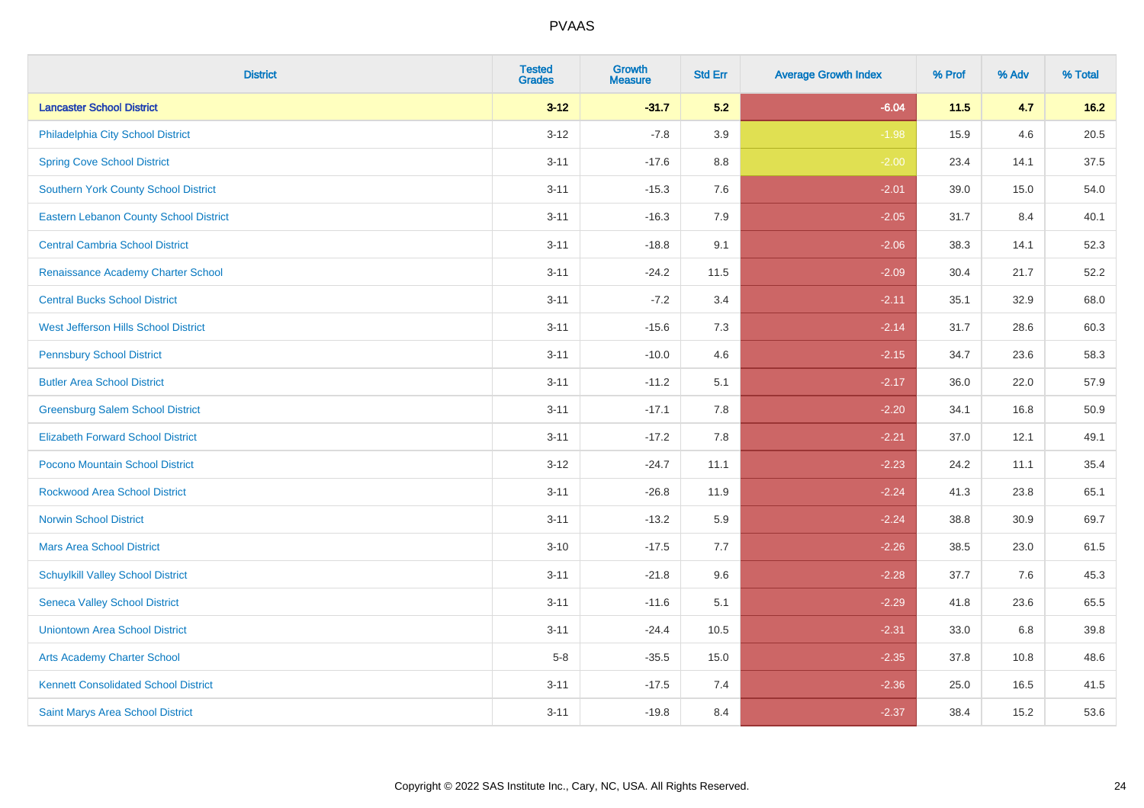| <b>District</b>                               | <b>Tested</b><br><b>Grades</b> | Growth<br><b>Measure</b> | <b>Std Err</b> | <b>Average Growth Index</b> | % Prof | % Adv | % Total |
|-----------------------------------------------|--------------------------------|--------------------------|----------------|-----------------------------|--------|-------|---------|
| <b>Lancaster School District</b>              | $3-12$                         | $-31.7$                  | 5.2            | $-6.04$                     | 11.5   | 4.7   | $16.2$  |
| Philadelphia City School District             | $3 - 12$                       | $-7.8$                   | 3.9            | $-1.98$                     | 15.9   | 4.6   | 20.5    |
| <b>Spring Cove School District</b>            | $3 - 11$                       | $-17.6$                  | 8.8            | $-2.00$                     | 23.4   | 14.1  | 37.5    |
| <b>Southern York County School District</b>   | $3 - 11$                       | $-15.3$                  | 7.6            | $-2.01$                     | 39.0   | 15.0  | 54.0    |
| <b>Eastern Lebanon County School District</b> | $3 - 11$                       | $-16.3$                  | 7.9            | $-2.05$                     | 31.7   | 8.4   | 40.1    |
| <b>Central Cambria School District</b>        | $3 - 11$                       | $-18.8$                  | 9.1            | $-2.06$                     | 38.3   | 14.1  | 52.3    |
| Renaissance Academy Charter School            | $3 - 11$                       | $-24.2$                  | 11.5           | $-2.09$                     | 30.4   | 21.7  | 52.2    |
| <b>Central Bucks School District</b>          | $3 - 11$                       | $-7.2$                   | 3.4            | $-2.11$                     | 35.1   | 32.9  | 68.0    |
| West Jefferson Hills School District          | $3 - 11$                       | $-15.6$                  | 7.3            | $-2.14$                     | 31.7   | 28.6  | 60.3    |
| <b>Pennsbury School District</b>              | $3 - 11$                       | $-10.0$                  | 4.6            | $-2.15$                     | 34.7   | 23.6  | 58.3    |
| <b>Butler Area School District</b>            | $3 - 11$                       | $-11.2$                  | 5.1            | $-2.17$                     | 36.0   | 22.0  | 57.9    |
| <b>Greensburg Salem School District</b>       | $3 - 11$                       | $-17.1$                  | 7.8            | $-2.20$                     | 34.1   | 16.8  | 50.9    |
| <b>Elizabeth Forward School District</b>      | $3 - 11$                       | $-17.2$                  | 7.8            | $-2.21$                     | 37.0   | 12.1  | 49.1    |
| <b>Pocono Mountain School District</b>        | $3 - 12$                       | $-24.7$                  | 11.1           | $-2.23$                     | 24.2   | 11.1  | 35.4    |
| <b>Rockwood Area School District</b>          | $3 - 11$                       | $-26.8$                  | 11.9           | $-2.24$                     | 41.3   | 23.8  | 65.1    |
| <b>Norwin School District</b>                 | $3 - 11$                       | $-13.2$                  | 5.9            | $-2.24$                     | 38.8   | 30.9  | 69.7    |
| <b>Mars Area School District</b>              | $3 - 10$                       | $-17.5$                  | 7.7            | $-2.26$                     | 38.5   | 23.0  | 61.5    |
| <b>Schuylkill Valley School District</b>      | $3 - 11$                       | $-21.8$                  | 9.6            | $-2.28$                     | 37.7   | 7.6   | 45.3    |
| <b>Seneca Valley School District</b>          | $3 - 11$                       | $-11.6$                  | 5.1            | $-2.29$                     | 41.8   | 23.6  | 65.5    |
| <b>Uniontown Area School District</b>         | $3 - 11$                       | $-24.4$                  | 10.5           | $-2.31$                     | 33.0   | 6.8   | 39.8    |
| <b>Arts Academy Charter School</b>            | $5-8$                          | $-35.5$                  | 15.0           | $-2.35$                     | 37.8   | 10.8  | 48.6    |
| <b>Kennett Consolidated School District</b>   | $3 - 11$                       | $-17.5$                  | 7.4            | $-2.36$                     | 25.0   | 16.5  | 41.5    |
| Saint Marys Area School District              | $3 - 11$                       | $-19.8$                  | 8.4            | $-2.37$                     | 38.4   | 15.2  | 53.6    |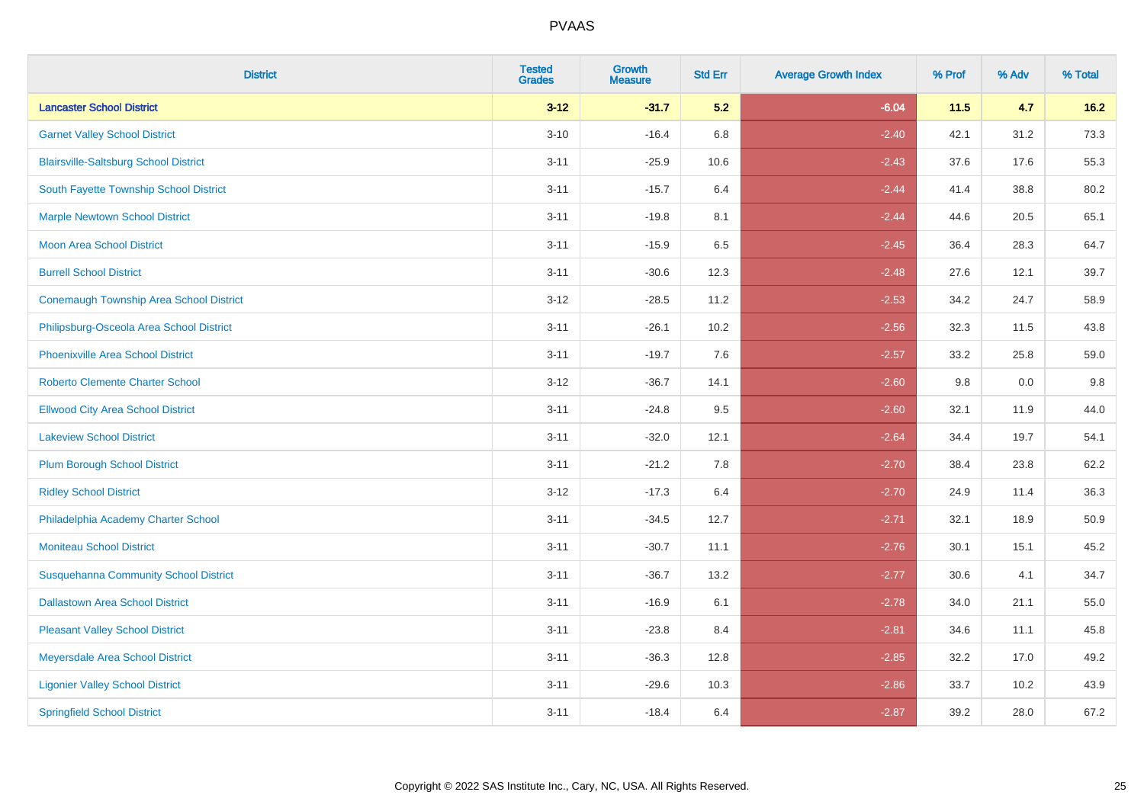| <b>District</b>                                | <b>Tested</b><br><b>Grades</b> | Growth<br><b>Measure</b> | <b>Std Err</b> | <b>Average Growth Index</b> | % Prof | % Adv | % Total |
|------------------------------------------------|--------------------------------|--------------------------|----------------|-----------------------------|--------|-------|---------|
| <b>Lancaster School District</b>               | $3 - 12$                       | $-31.7$                  | 5.2            | $-6.04$                     | 11.5   | 4.7   | $16.2$  |
| <b>Garnet Valley School District</b>           | $3 - 10$                       | $-16.4$                  | 6.8            | $-2.40$                     | 42.1   | 31.2  | 73.3    |
| <b>Blairsville-Saltsburg School District</b>   | $3 - 11$                       | $-25.9$                  | 10.6           | $-2.43$                     | 37.6   | 17.6  | 55.3    |
| South Fayette Township School District         | $3 - 11$                       | $-15.7$                  | 6.4            | $-2.44$                     | 41.4   | 38.8  | 80.2    |
| <b>Marple Newtown School District</b>          | $3 - 11$                       | $-19.8$                  | 8.1            | $-2.44$                     | 44.6   | 20.5  | 65.1    |
| <b>Moon Area School District</b>               | $3 - 11$                       | $-15.9$                  | 6.5            | $-2.45$                     | 36.4   | 28.3  | 64.7    |
| <b>Burrell School District</b>                 | $3 - 11$                       | $-30.6$                  | 12.3           | $-2.48$                     | 27.6   | 12.1  | 39.7    |
| <b>Conemaugh Township Area School District</b> | $3 - 12$                       | $-28.5$                  | 11.2           | $-2.53$                     | 34.2   | 24.7  | 58.9    |
| Philipsburg-Osceola Area School District       | $3 - 11$                       | $-26.1$                  | 10.2           | $-2.56$                     | 32.3   | 11.5  | 43.8    |
| <b>Phoenixville Area School District</b>       | $3 - 11$                       | $-19.7$                  | 7.6            | $-2.57$                     | 33.2   | 25.8  | 59.0    |
| <b>Roberto Clemente Charter School</b>         | $3 - 12$                       | $-36.7$                  | 14.1           | $-2.60$                     | 9.8    | 0.0   | 9.8     |
| <b>Ellwood City Area School District</b>       | $3 - 11$                       | $-24.8$                  | 9.5            | $-2.60$                     | 32.1   | 11.9  | 44.0    |
| <b>Lakeview School District</b>                | $3 - 11$                       | $-32.0$                  | 12.1           | $-2.64$                     | 34.4   | 19.7  | 54.1    |
| <b>Plum Borough School District</b>            | $3 - 11$                       | $-21.2$                  | 7.8            | $-2.70$                     | 38.4   | 23.8  | 62.2    |
| <b>Ridley School District</b>                  | $3 - 12$                       | $-17.3$                  | 6.4            | $-2.70$                     | 24.9   | 11.4  | 36.3    |
| Philadelphia Academy Charter School            | $3 - 11$                       | $-34.5$                  | 12.7           | $-2.71$                     | 32.1   | 18.9  | 50.9    |
| <b>Moniteau School District</b>                | $3 - 11$                       | $-30.7$                  | 11.1           | $-2.76$                     | 30.1   | 15.1  | 45.2    |
| <b>Susquehanna Community School District</b>   | $3 - 11$                       | $-36.7$                  | 13.2           | $-2.77$                     | 30.6   | 4.1   | 34.7    |
| <b>Dallastown Area School District</b>         | $3 - 11$                       | $-16.9$                  | 6.1            | $-2.78$                     | 34.0   | 21.1  | 55.0    |
| <b>Pleasant Valley School District</b>         | $3 - 11$                       | $-23.8$                  | 8.4            | $-2.81$                     | 34.6   | 11.1  | 45.8    |
| Meyersdale Area School District                | $3 - 11$                       | $-36.3$                  | 12.8           | $-2.85$                     | 32.2   | 17.0  | 49.2    |
| <b>Ligonier Valley School District</b>         | $3 - 11$                       | $-29.6$                  | 10.3           | $-2.86$                     | 33.7   | 10.2  | 43.9    |
| <b>Springfield School District</b>             | $3 - 11$                       | $-18.4$                  | 6.4            | $-2.87$                     | 39.2   | 28.0  | 67.2    |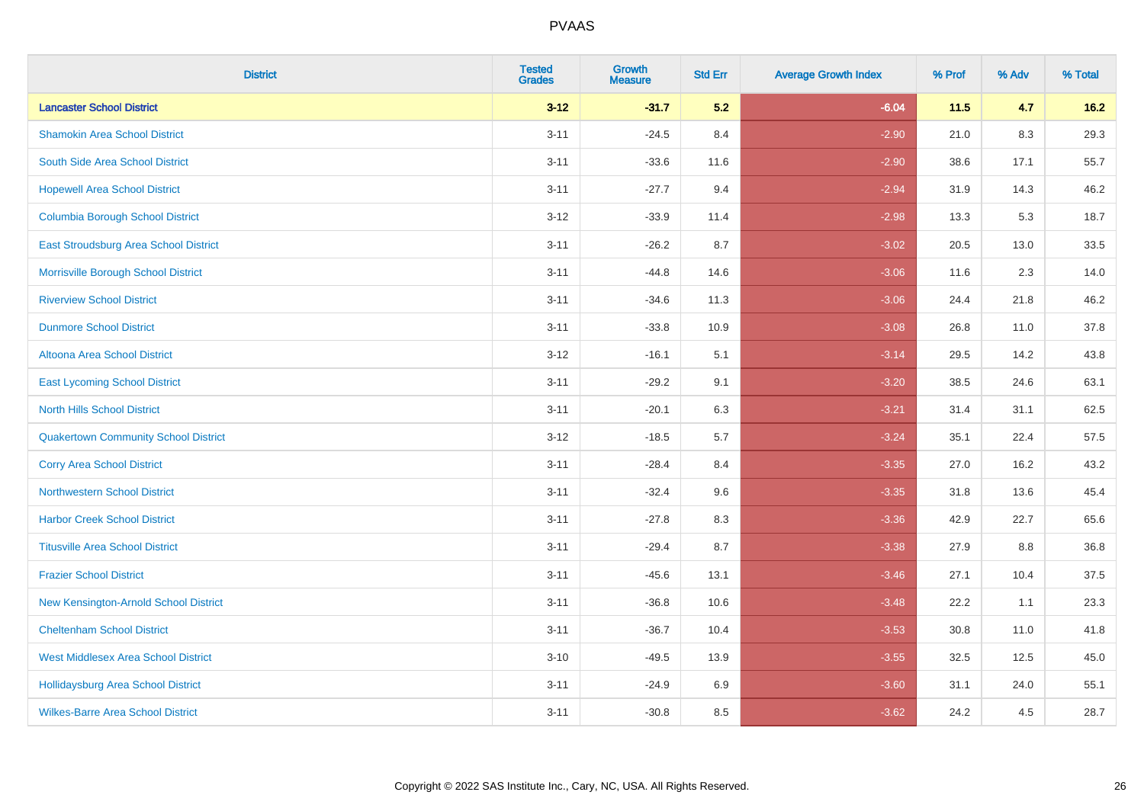| <b>District</b>                             | <b>Tested</b><br><b>Grades</b> | Growth<br><b>Measure</b> | <b>Std Err</b> | <b>Average Growth Index</b> | % Prof | % Adv | % Total |
|---------------------------------------------|--------------------------------|--------------------------|----------------|-----------------------------|--------|-------|---------|
| <b>Lancaster School District</b>            | $3-12$                         | $-31.7$                  | 5.2            | $-6.04$                     | $11.5$ | 4.7   | $16.2$  |
| <b>Shamokin Area School District</b>        | $3 - 11$                       | $-24.5$                  | 8.4            | $-2.90$                     | 21.0   | 8.3   | 29.3    |
| South Side Area School District             | $3 - 11$                       | $-33.6$                  | 11.6           | $-2.90$                     | 38.6   | 17.1  | 55.7    |
| <b>Hopewell Area School District</b>        | $3 - 11$                       | $-27.7$                  | 9.4            | $-2.94$                     | 31.9   | 14.3  | 46.2    |
| <b>Columbia Borough School District</b>     | $3 - 12$                       | $-33.9$                  | 11.4           | $-2.98$                     | 13.3   | 5.3   | 18.7    |
| East Stroudsburg Area School District       | $3 - 11$                       | $-26.2$                  | 8.7            | $-3.02$                     | 20.5   | 13.0  | 33.5    |
| Morrisville Borough School District         | $3 - 11$                       | $-44.8$                  | 14.6           | $-3.06$                     | 11.6   | 2.3   | 14.0    |
| <b>Riverview School District</b>            | $3 - 11$                       | $-34.6$                  | 11.3           | $-3.06$                     | 24.4   | 21.8  | 46.2    |
| <b>Dunmore School District</b>              | $3 - 11$                       | $-33.8$                  | 10.9           | $-3.08$                     | 26.8   | 11.0  | 37.8    |
| <b>Altoona Area School District</b>         | $3-12$                         | $-16.1$                  | 5.1            | $-3.14$                     | 29.5   | 14.2  | 43.8    |
| <b>East Lycoming School District</b>        | $3 - 11$                       | $-29.2$                  | 9.1            | $-3.20$                     | 38.5   | 24.6  | 63.1    |
| <b>North Hills School District</b>          | $3 - 11$                       | $-20.1$                  | 6.3            | $-3.21$                     | 31.4   | 31.1  | 62.5    |
| <b>Quakertown Community School District</b> | $3 - 12$                       | $-18.5$                  | 5.7            | $-3.24$                     | 35.1   | 22.4  | 57.5    |
| <b>Corry Area School District</b>           | $3 - 11$                       | $-28.4$                  | 8.4            | $-3.35$                     | 27.0   | 16.2  | 43.2    |
| <b>Northwestern School District</b>         | $3 - 11$                       | $-32.4$                  | 9.6            | $-3.35$                     | 31.8   | 13.6  | 45.4    |
| <b>Harbor Creek School District</b>         | $3 - 11$                       | $-27.8$                  | 8.3            | $-3.36$                     | 42.9   | 22.7  | 65.6    |
| <b>Titusville Area School District</b>      | $3 - 11$                       | $-29.4$                  | 8.7            | $-3.38$                     | 27.9   | 8.8   | 36.8    |
| <b>Frazier School District</b>              | $3 - 11$                       | $-45.6$                  | 13.1           | $-3.46$                     | 27.1   | 10.4  | 37.5    |
| New Kensington-Arnold School District       | $3 - 11$                       | $-36.8$                  | 10.6           | $-3.48$                     | 22.2   | 1.1   | 23.3    |
| <b>Cheltenham School District</b>           | $3 - 11$                       | $-36.7$                  | 10.4           | $-3.53$                     | 30.8   | 11.0  | 41.8    |
| <b>West Middlesex Area School District</b>  | $3 - 10$                       | $-49.5$                  | 13.9           | $-3.55$                     | 32.5   | 12.5  | 45.0    |
| <b>Hollidaysburg Area School District</b>   | $3 - 11$                       | $-24.9$                  | 6.9            | $-3.60$                     | 31.1   | 24.0  | 55.1    |
| <b>Wilkes-Barre Area School District</b>    | $3 - 11$                       | $-30.8$                  | 8.5            | $-3.62$                     | 24.2   | 4.5   | 28.7    |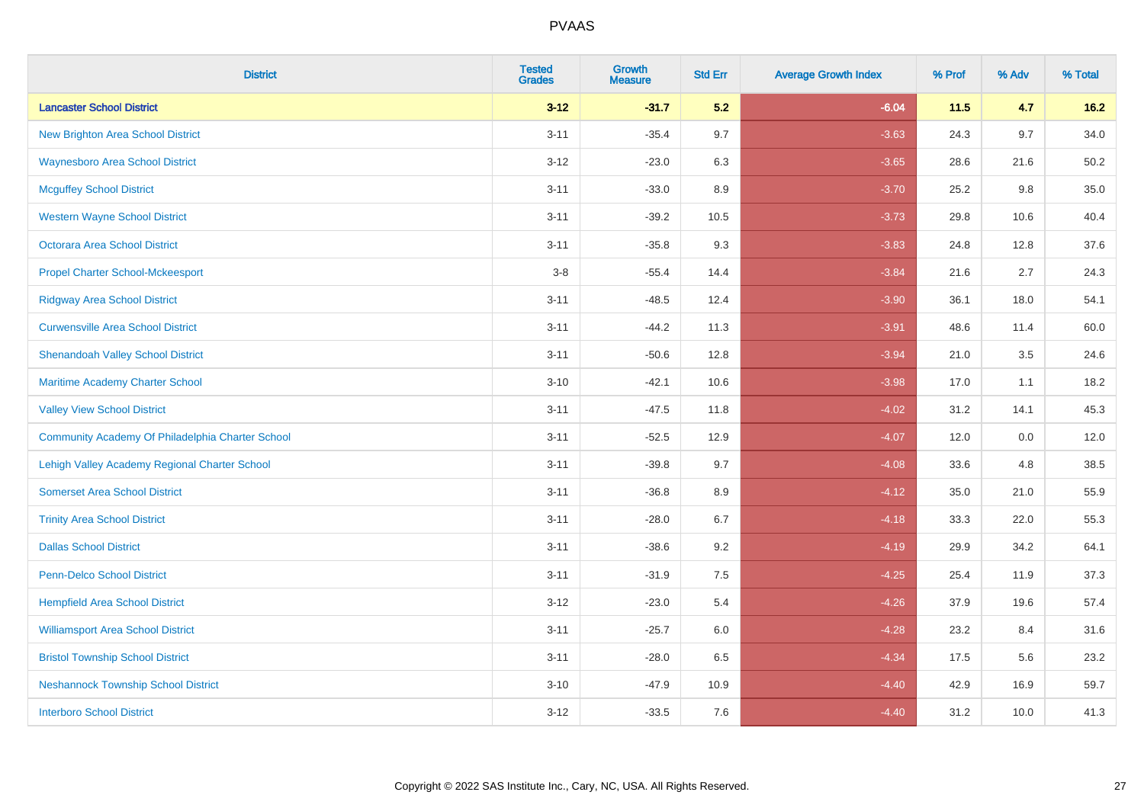| <b>District</b>                                  | <b>Tested</b><br><b>Grades</b> | Growth<br><b>Measure</b> | <b>Std Err</b> | <b>Average Growth Index</b> | % Prof | % Adv | % Total |
|--------------------------------------------------|--------------------------------|--------------------------|----------------|-----------------------------|--------|-------|---------|
| <b>Lancaster School District</b>                 | $3 - 12$                       | $-31.7$                  | 5.2            | $-6.04$                     | 11.5   | 4.7   | $16.2$  |
| <b>New Brighton Area School District</b>         | $3 - 11$                       | $-35.4$                  | 9.7            | $-3.63$                     | 24.3   | 9.7   | 34.0    |
| <b>Waynesboro Area School District</b>           | $3 - 12$                       | $-23.0$                  | 6.3            | $-3.65$                     | 28.6   | 21.6  | 50.2    |
| <b>Mcguffey School District</b>                  | $3 - 11$                       | $-33.0$                  | 8.9            | $-3.70$                     | 25.2   | 9.8   | 35.0    |
| <b>Western Wayne School District</b>             | $3 - 11$                       | $-39.2$                  | 10.5           | $-3.73$                     | 29.8   | 10.6  | 40.4    |
| <b>Octorara Area School District</b>             | $3 - 11$                       | $-35.8$                  | 9.3            | $-3.83$                     | 24.8   | 12.8  | 37.6    |
| <b>Propel Charter School-Mckeesport</b>          | $3-8$                          | $-55.4$                  | 14.4           | $-3.84$                     | 21.6   | 2.7   | 24.3    |
| <b>Ridgway Area School District</b>              | $3 - 11$                       | $-48.5$                  | 12.4           | $-3.90$                     | 36.1   | 18.0  | 54.1    |
| <b>Curwensville Area School District</b>         | $3 - 11$                       | $-44.2$                  | 11.3           | $-3.91$                     | 48.6   | 11.4  | 60.0    |
| <b>Shenandoah Valley School District</b>         | $3 - 11$                       | $-50.6$                  | 12.8           | $-3.94$                     | 21.0   | 3.5   | 24.6    |
| Maritime Academy Charter School                  | $3 - 10$                       | $-42.1$                  | 10.6           | $-3.98$                     | 17.0   | 1.1   | 18.2    |
| <b>Valley View School District</b>               | $3 - 11$                       | $-47.5$                  | 11.8           | $-4.02$                     | 31.2   | 14.1  | 45.3    |
| Community Academy Of Philadelphia Charter School | $3 - 11$                       | $-52.5$                  | 12.9           | $-4.07$                     | 12.0   | 0.0   | 12.0    |
| Lehigh Valley Academy Regional Charter School    | $3 - 11$                       | $-39.8$                  | 9.7            | $-4.08$                     | 33.6   | 4.8   | 38.5    |
| <b>Somerset Area School District</b>             | $3 - 11$                       | $-36.8$                  | 8.9            | $-4.12$                     | 35.0   | 21.0  | 55.9    |
| <b>Trinity Area School District</b>              | $3 - 11$                       | $-28.0$                  | 6.7            | $-4.18$                     | 33.3   | 22.0  | 55.3    |
| <b>Dallas School District</b>                    | $3 - 11$                       | $-38.6$                  | 9.2            | $-4.19$                     | 29.9   | 34.2  | 64.1    |
| Penn-Delco School District                       | $3 - 11$                       | $-31.9$                  | 7.5            | $-4.25$                     | 25.4   | 11.9  | 37.3    |
| <b>Hempfield Area School District</b>            | $3 - 12$                       | $-23.0$                  | 5.4            | $-4.26$                     | 37.9   | 19.6  | 57.4    |
| <b>Williamsport Area School District</b>         | $3 - 11$                       | $-25.7$                  | 6.0            | $-4.28$                     | 23.2   | 8.4   | 31.6    |
| <b>Bristol Township School District</b>          | $3 - 11$                       | $-28.0$                  | 6.5            | $-4.34$                     | 17.5   | 5.6   | 23.2    |
| <b>Neshannock Township School District</b>       | $3 - 10$                       | $-47.9$                  | 10.9           | $-4.40$                     | 42.9   | 16.9  | 59.7    |
| <b>Interboro School District</b>                 | $3 - 12$                       | $-33.5$                  | 7.6            | $-4.40$                     | 31.2   | 10.0  | 41.3    |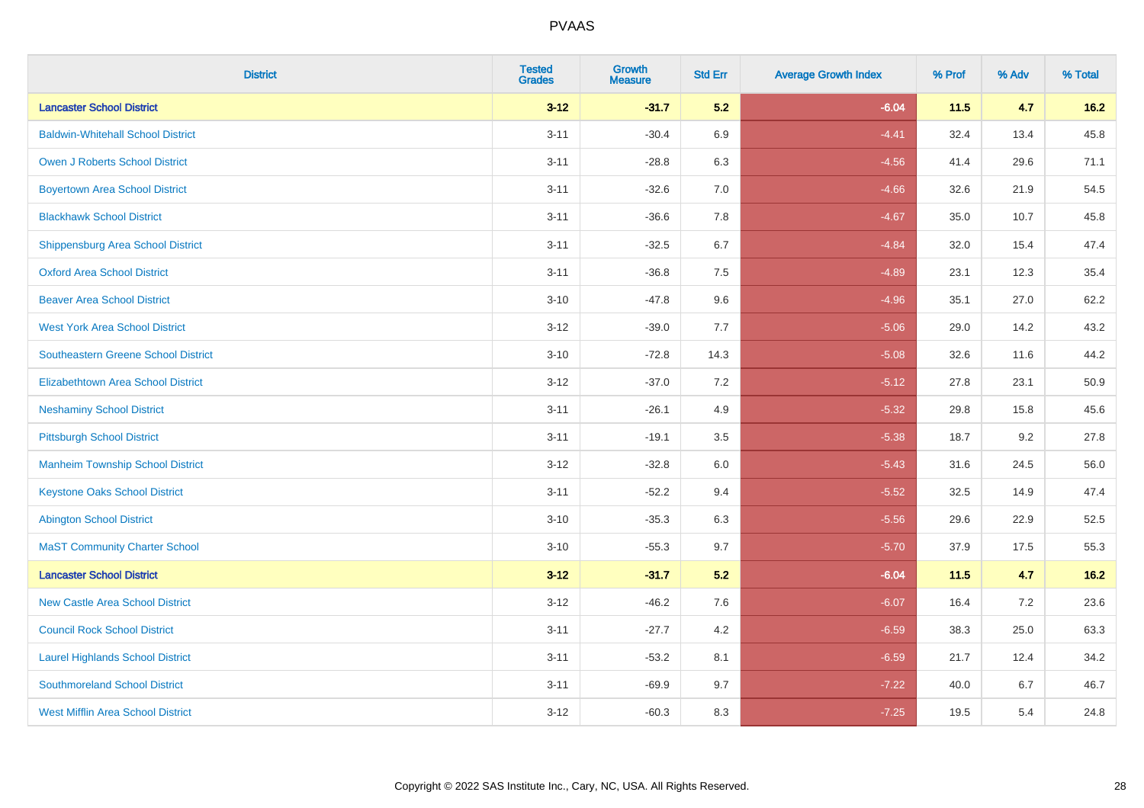| <b>District</b>                            | <b>Tested</b><br><b>Grades</b> | Growth<br><b>Measure</b> | <b>Std Err</b> | <b>Average Growth Index</b> | % Prof | % Adv | % Total |
|--------------------------------------------|--------------------------------|--------------------------|----------------|-----------------------------|--------|-------|---------|
| <b>Lancaster School District</b>           | $3 - 12$                       | $-31.7$                  | 5.2            | $-6.04$                     | 11.5   | 4.7   | $16.2$  |
| <b>Baldwin-Whitehall School District</b>   | $3 - 11$                       | $-30.4$                  | 6.9            | $-4.41$                     | 32.4   | 13.4  | 45.8    |
| <b>Owen J Roberts School District</b>      | $3 - 11$                       | $-28.8$                  | 6.3            | $-4.56$                     | 41.4   | 29.6  | 71.1    |
| <b>Boyertown Area School District</b>      | $3 - 11$                       | $-32.6$                  | 7.0            | $-4.66$                     | 32.6   | 21.9  | 54.5    |
| <b>Blackhawk School District</b>           | $3 - 11$                       | $-36.6$                  | 7.8            | $-4.67$                     | 35.0   | 10.7  | 45.8    |
| <b>Shippensburg Area School District</b>   | $3 - 11$                       | $-32.5$                  | 6.7            | $-4.84$                     | 32.0   | 15.4  | 47.4    |
| <b>Oxford Area School District</b>         | $3 - 11$                       | $-36.8$                  | $7.5\,$        | $-4.89$                     | 23.1   | 12.3  | 35.4    |
| <b>Beaver Area School District</b>         | $3 - 10$                       | $-47.8$                  | 9.6            | $-4.96$                     | 35.1   | 27.0  | 62.2    |
| <b>West York Area School District</b>      | $3 - 12$                       | $-39.0$                  | 7.7            | $-5.06$                     | 29.0   | 14.2  | 43.2    |
| <b>Southeastern Greene School District</b> | $3 - 10$                       | $-72.8$                  | 14.3           | $-5.08$                     | 32.6   | 11.6  | 44.2    |
| <b>Elizabethtown Area School District</b>  | $3 - 12$                       | $-37.0$                  | 7.2            | $-5.12$                     | 27.8   | 23.1  | 50.9    |
| <b>Neshaminy School District</b>           | $3 - 11$                       | $-26.1$                  | 4.9            | $-5.32$                     | 29.8   | 15.8  | 45.6    |
| <b>Pittsburgh School District</b>          | $3 - 11$                       | $-19.1$                  | 3.5            | $-5.38$                     | 18.7   | 9.2   | 27.8    |
| <b>Manheim Township School District</b>    | $3 - 12$                       | $-32.8$                  | 6.0            | $-5.43$                     | 31.6   | 24.5  | 56.0    |
| <b>Keystone Oaks School District</b>       | $3 - 11$                       | $-52.2$                  | 9.4            | $-5.52$                     | 32.5   | 14.9  | 47.4    |
| <b>Abington School District</b>            | $3 - 10$                       | $-35.3$                  | 6.3            | $-5.56$                     | 29.6   | 22.9  | 52.5    |
| <b>MaST Community Charter School</b>       | $3 - 10$                       | $-55.3$                  | 9.7            | $-5.70$                     | 37.9   | 17.5  | 55.3    |
| <b>Lancaster School District</b>           | $3-12$                         | $-31.7$                  | 5.2            | $-6.04$                     | 11.5   | 4.7   | $16.2$  |
| <b>New Castle Area School District</b>     | $3 - 12$                       | $-46.2$                  | 7.6            | $-6.07$                     | 16.4   | 7.2   | 23.6    |
| <b>Council Rock School District</b>        | $3 - 11$                       | $-27.7$                  | 4.2            | $-6.59$                     | 38.3   | 25.0  | 63.3    |
| <b>Laurel Highlands School District</b>    | $3 - 11$                       | $-53.2$                  | 8.1            | $-6.59$                     | 21.7   | 12.4  | 34.2    |
| <b>Southmoreland School District</b>       | $3 - 11$                       | $-69.9$                  | 9.7            | $-7.22$                     | 40.0   | 6.7   | 46.7    |
| West Mifflin Area School District          | $3 - 12$                       | $-60.3$                  | 8.3            | $-7.25$                     | 19.5   | 5.4   | 24.8    |